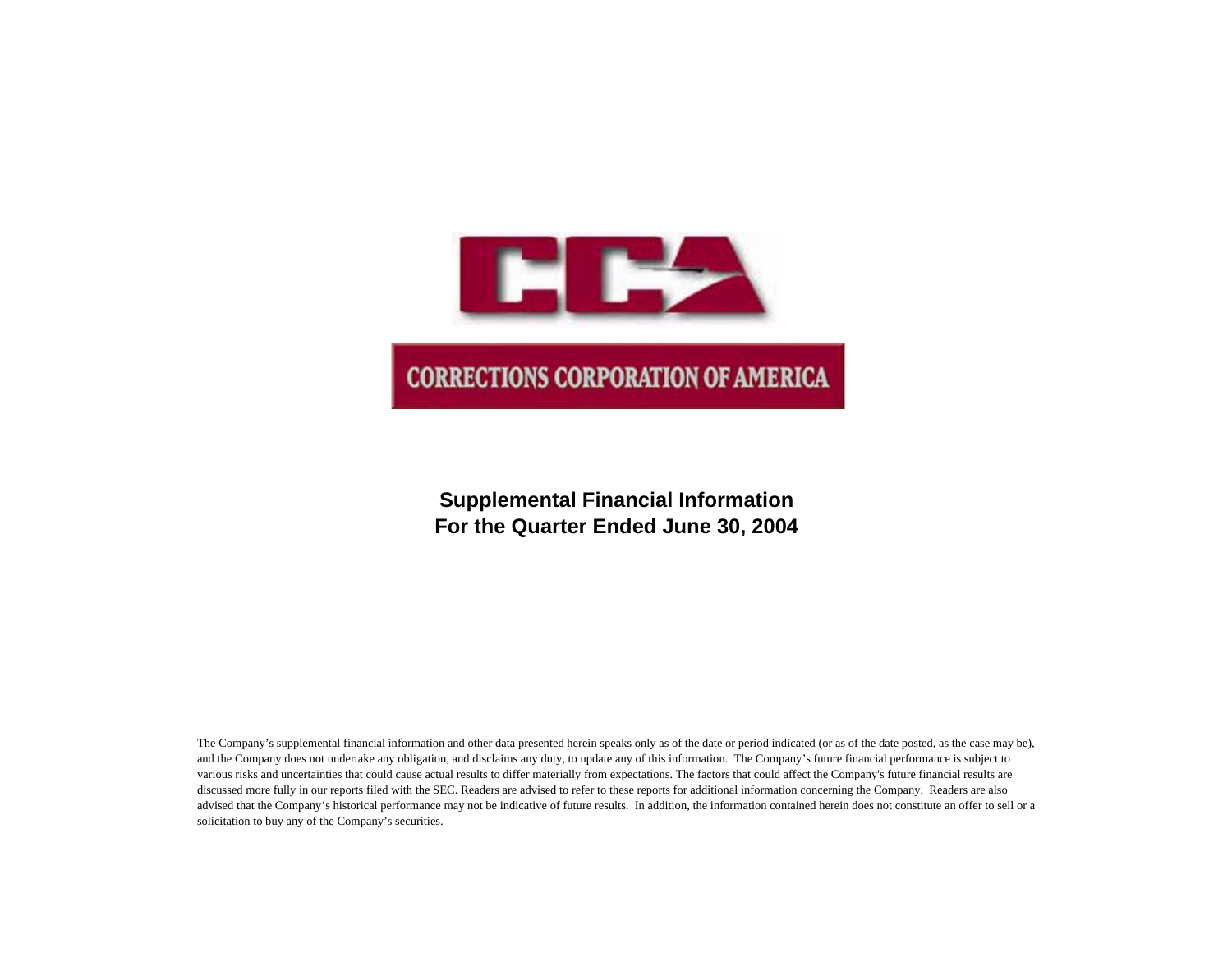

**Supplemental Financial Information For the Quarter Ended June 30, 2004**

The Company's supplemental financial information and other data presented herein speaks only as of the date or period indicated (or as of the date posted, as the case may be), and the Company does not undertake any obligation, and disclaims any duty, to update any of this information. The Company's future financial performance is subject to various risks and uncertainties that could cause actual results to differ materially from expectations. The factors that could affect the Company's future financial results are discussed more fully in our reports filed with the SEC. Readers are advised to refer to these reports for additional information concerning the Company. Readers are also advised that the Company's historical performance may not be indicative of future results. In addition, the information contained herein does not constitute an offer to sell or a solicitation to buy any of the Company's securities.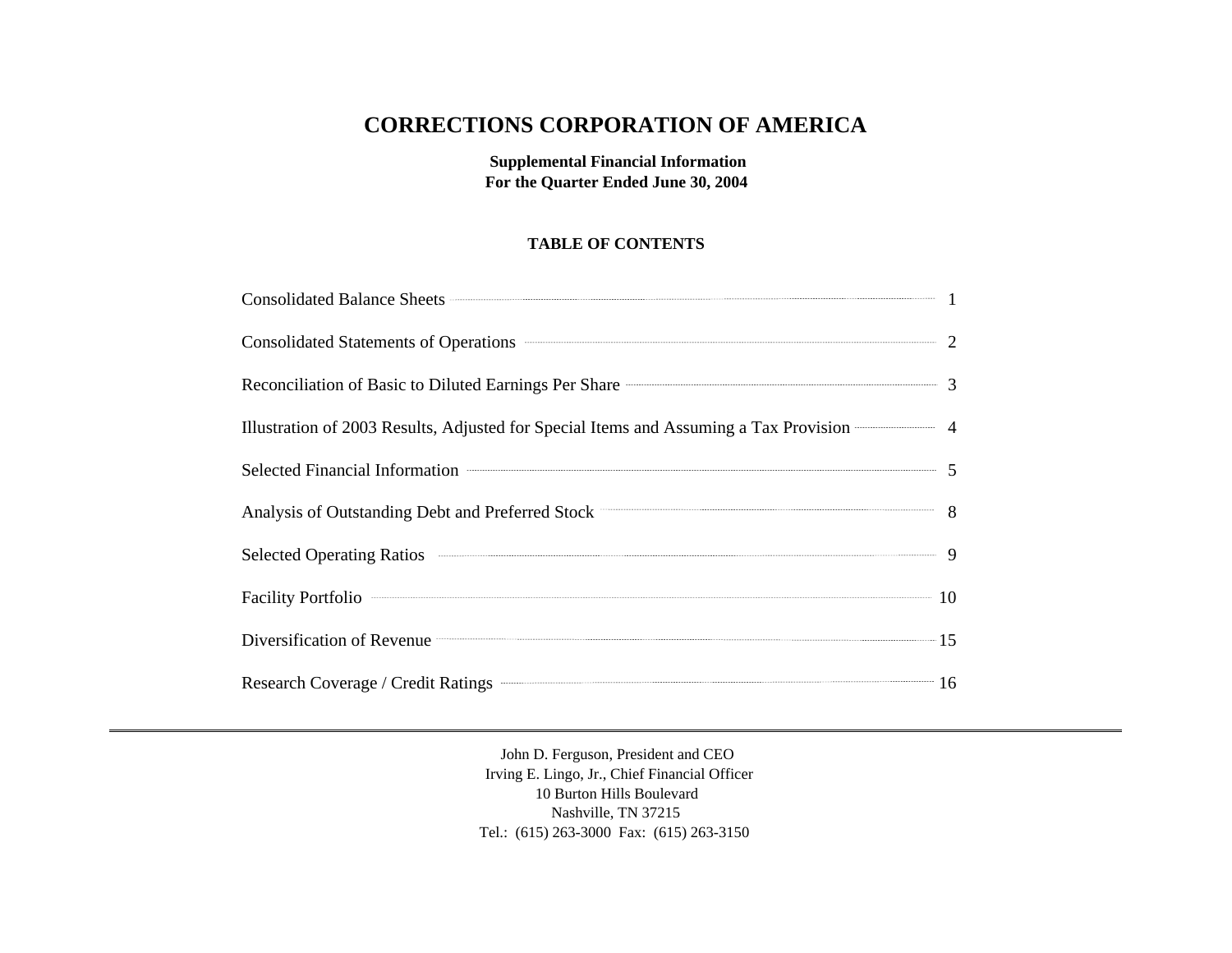# **CORRECTIONS CORPORATION OF AMERICA**

**Supplemental Financial Information For the Quarter Ended June 30, 2004**

### **TABLE OF CONTENTS**

| Consolidated Balance Sheets <b>Consolidated</b> Balance Sheets <b>Consolidated</b> Balance Sheets <b>Consolidated</b> Balance Sheets <b>Consolidated</b> Balance Sheets <b>Consolidated</b> Balance Sheets <b>Consolidated</b> Balance Sheets <b>Consolidated</b> |  |
|-------------------------------------------------------------------------------------------------------------------------------------------------------------------------------------------------------------------------------------------------------------------|--|
| Consolidated Statements of Operations <b>CONSUMER 2</b>                                                                                                                                                                                                           |  |
| Reconciliation of Basic to Diluted Earnings Per Share <b>Constanting Strate Act 2016</b> 3                                                                                                                                                                        |  |
| Illustration of 2003 Results, Adjusted for Special Items and Assuming a Tax Provision 44                                                                                                                                                                          |  |
| Selected Financial Information <b>Construction</b> 5                                                                                                                                                                                                              |  |
| Analysis of Outstanding Debt and Preferred Stock 36 and 200 million 36 and 36 and 36 and 36 and 36 and 36 and 36 and 36 and 36 and 36 and 36 and 36 and 36 and 36 and 36 and 36 and 36 and 36 and 36 and 36 and 36 and 36 and                                     |  |
|                                                                                                                                                                                                                                                                   |  |
| Facility Portfolio 2000 10                                                                                                                                                                                                                                        |  |
| Diversification of Revenue <b>Example 2018</b> 15                                                                                                                                                                                                                 |  |
| Research Coverage / Credit Ratings <b>Communications</b> 16                                                                                                                                                                                                       |  |

John D. Ferguson, President and CEO Irving E. Lingo, Jr., Chief Financial Officer 10 Burton Hills Boulevard Nashville, TN 37215 Tel.: (615) 263-3000 Fax: (615) 263-3150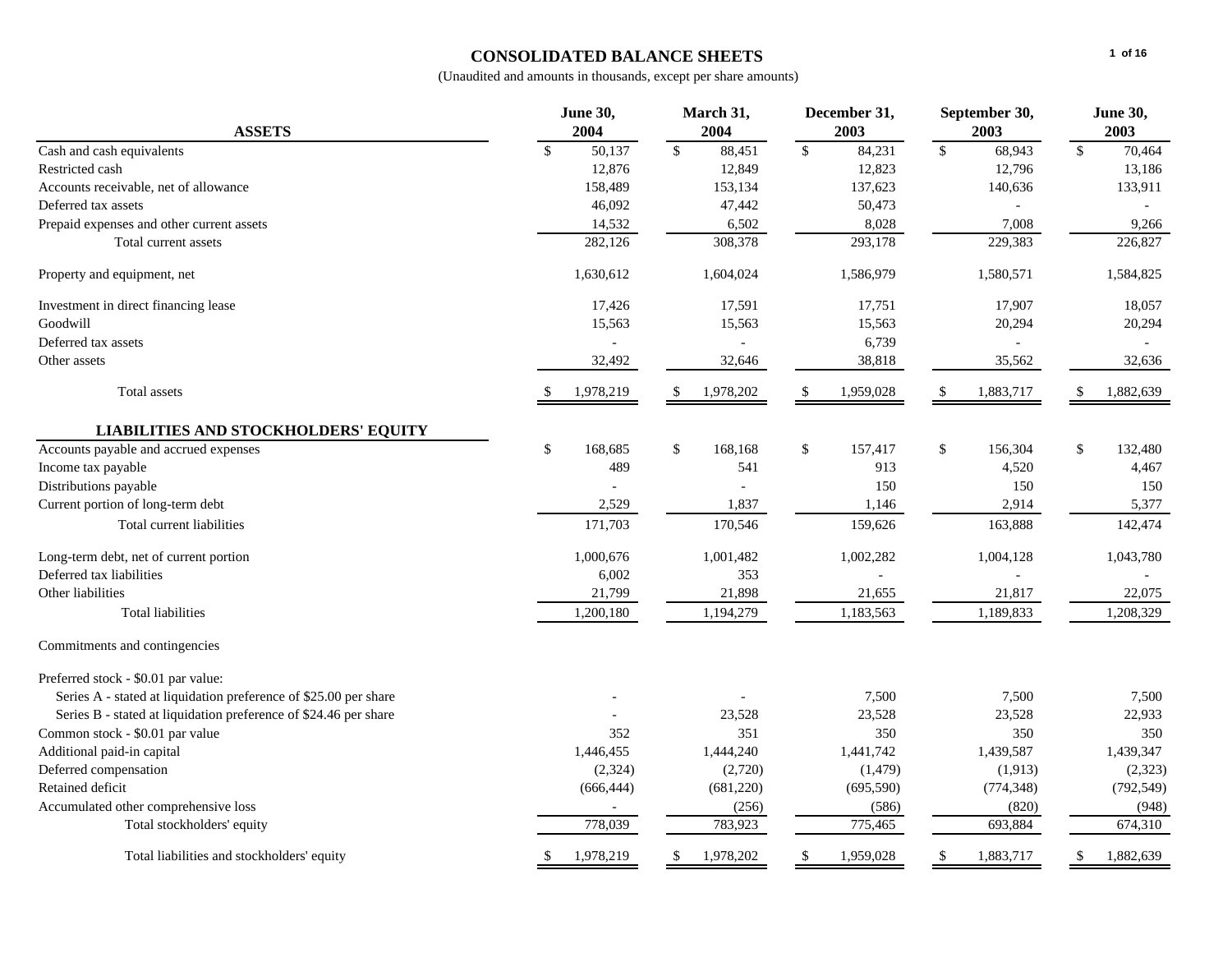# **CONSOLIDATED BALANCE SHEETS**

|                                                                  | <b>June 30,</b>                     | March 31,               | December 31,           | September 30,          | <b>June 30,</b>        |  |
|------------------------------------------------------------------|-------------------------------------|-------------------------|------------------------|------------------------|------------------------|--|
| <b>ASSETS</b>                                                    | 2004                                | 2004                    | 2003                   | 2003                   | 2003                   |  |
| Cash and cash equivalents                                        | $\overline{50,}137$<br>$\mathbb{S}$ | $\mathcal{S}$<br>88,451 | 84,231<br>$\mathbb{S}$ | $\mathbb{S}$<br>68,943 | $\mathbb{S}$<br>70,464 |  |
| Restricted cash                                                  | 12,876                              | 12,849                  | 12,823                 | 12,796                 | 13,186                 |  |
| Accounts receivable, net of allowance                            | 158,489                             | 153,134                 | 137,623                | 140,636                | 133,911                |  |
| Deferred tax assets                                              | 46,092                              | 47,442                  | 50,473                 |                        |                        |  |
| Prepaid expenses and other current assets                        | 14,532                              | 6,502                   | 8,028                  | 7,008                  | 9,266                  |  |
| Total current assets                                             | 282,126                             | 308,378                 | 293,178                | 229,383                | 226,827                |  |
| Property and equipment, net                                      | 1,630,612                           | 1,604,024               | 1,586,979              | 1,580,571              | 1,584,825              |  |
| Investment in direct financing lease                             | 17,426                              | 17,591                  | 17,751                 | 17,907                 | 18,057                 |  |
| Goodwill                                                         | 15,563                              | 15,563                  | 15,563                 | 20,294                 | 20,294                 |  |
| Deferred tax assets                                              |                                     |                         | 6,739                  |                        |                        |  |
| Other assets                                                     | 32,492                              | 32,646                  | 38,818                 | 35,562                 | 32,636                 |  |
| <b>Total</b> assets                                              | 1,978,219                           | 1,978,202               | 1,959,028              | 1,883,717              | 1,882,639              |  |
| <b>LIABILITIES AND STOCKHOLDERS' EQUITY</b>                      |                                     |                         |                        |                        |                        |  |
| Accounts payable and accrued expenses                            | $\mathbb{S}$<br>168,685             | \$<br>168,168           | \$<br>157,417          | \$<br>156,304          | \$<br>132,480          |  |
| Income tax payable                                               | 489                                 | 541                     | 913                    | 4,520                  | 4,467                  |  |
| Distributions payable                                            |                                     |                         | 150                    | 150                    | 150                    |  |
| Current portion of long-term debt                                | 2,529                               | 1,837                   | 1,146                  | 2,914                  | 5,377                  |  |
| Total current liabilities                                        | 171,703                             | 170,546                 | 159,626                | 163,888                | 142,474                |  |
| Long-term debt, net of current portion                           | 1,000,676                           | 1,001,482               | 1,002,282              | 1,004,128              | 1,043,780              |  |
| Deferred tax liabilities                                         | 6,002                               | 353                     |                        |                        |                        |  |
| Other liabilities                                                | 21,799                              | 21,898                  | 21,655                 | 21,817                 | 22,075                 |  |
| <b>Total liabilities</b>                                         | 1,200,180                           | 1,194,279               | 1,183,563              | 1,189,833              | 1,208,329              |  |
| Commitments and contingencies                                    |                                     |                         |                        |                        |                        |  |
| Preferred stock - \$0.01 par value:                              |                                     |                         |                        |                        |                        |  |
| Series A - stated at liquidation preference of \$25.00 per share |                                     |                         | 7,500                  | 7,500                  | 7,500                  |  |
| Series B - stated at liquidation preference of \$24.46 per share |                                     | 23,528                  | 23,528                 | 23,528                 | 22,933                 |  |
| Common stock - \$0.01 par value                                  | 352                                 | 351                     | 350                    | 350                    | 350                    |  |
| Additional paid-in capital                                       | 1,446,455                           | 1,444,240               | 1,441,742              | 1,439,587              | 1,439,347              |  |
| Deferred compensation                                            | (2,324)                             | (2,720)                 | (1,479)                | (1,913)                | (2, 323)               |  |
| Retained deficit                                                 | (666, 444)                          | (681, 220)              | (695, 590)             | (774, 348)             | (792, 549)             |  |
| Accumulated other comprehensive loss                             |                                     | (256)                   | (586)                  | (820)                  | (948)                  |  |
| Total stockholders' equity                                       | 778,039                             | 783,923                 | 775,465                | 693,884                | 674,310                |  |
| Total liabilities and stockholders' equity                       | 1,978,219                           | 1,978,202               | 1,959,028              | 1,883,717              | 1,882,639              |  |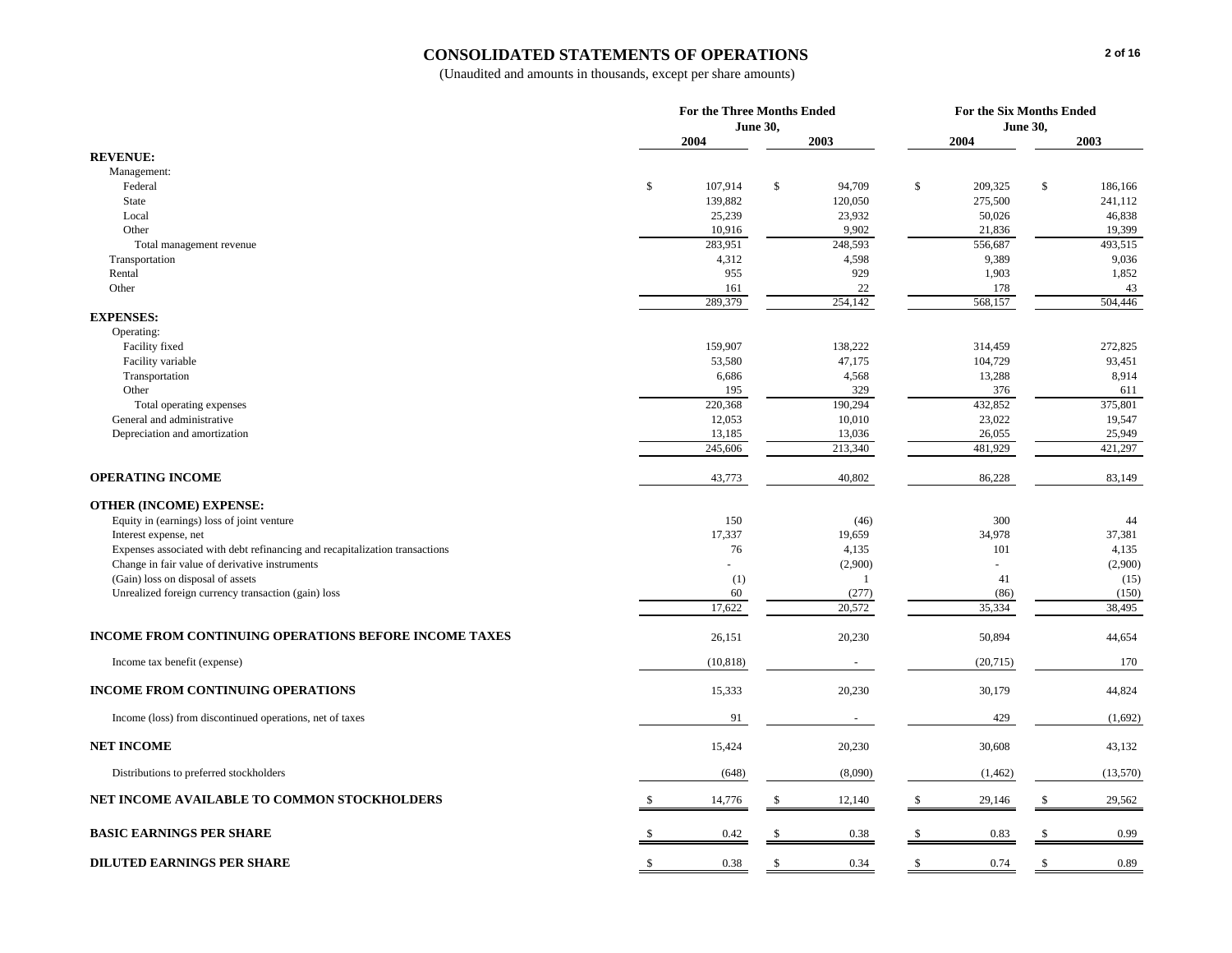### **CONSOLIDATED STATEMENTS OF OPERATIONS**

|                                                                                                                               |                  | <b>For the Three Months Ended</b> | For the Six Months Ended |                  |  |  |  |
|-------------------------------------------------------------------------------------------------------------------------------|------------------|-----------------------------------|--------------------------|------------------|--|--|--|
|                                                                                                                               |                  | <b>June 30,</b>                   | <b>June 30,</b>          |                  |  |  |  |
|                                                                                                                               | 2004             | 2003                              | 2004                     | 2003             |  |  |  |
| <b>REVENUE:</b>                                                                                                               |                  |                                   |                          |                  |  |  |  |
| Management:                                                                                                                   |                  |                                   |                          |                  |  |  |  |
| Federal                                                                                                                       | \$<br>107,914    | \$<br>94,709                      | \$<br>209,325            | \$<br>186,166    |  |  |  |
| <b>State</b>                                                                                                                  | 139,882          | 120,050                           | 275,500                  | 241,112          |  |  |  |
| Local                                                                                                                         | 25,239           | 23,932                            | 50,026                   | 46,838           |  |  |  |
| Other                                                                                                                         | 10,916           | 9,902                             | 21,836                   | 19,399           |  |  |  |
| Total management revenue                                                                                                      | 283,951<br>4,312 | 248,593<br>4,598                  | 556,687<br>9,389         | 493,515<br>9,036 |  |  |  |
| Transportation<br>Rental                                                                                                      | 955              | 929                               | 1,903                    | 1,852            |  |  |  |
| Other                                                                                                                         | 161              | 22                                | 178                      | 43               |  |  |  |
|                                                                                                                               | 289,379          | 254,142                           | 568,157                  | 504,446          |  |  |  |
| <b>EXPENSES:</b>                                                                                                              |                  |                                   |                          |                  |  |  |  |
| Operating:                                                                                                                    |                  |                                   |                          |                  |  |  |  |
| Facility fixed                                                                                                                | 159,907          | 138,222                           | 314,459                  | 272,825          |  |  |  |
| Facility variable                                                                                                             | 53,580           | 47,175                            | 104,729                  | 93,451           |  |  |  |
| Transportation                                                                                                                | 6,686            | 4,568                             | 13,288                   | 8,914            |  |  |  |
| Other                                                                                                                         | 195              | 329                               | 376                      | 611              |  |  |  |
| Total operating expenses                                                                                                      | 220,368          | 190,294                           | 432,852                  | 375,801          |  |  |  |
| General and administrative                                                                                                    | 12,053           | 10,010                            | 23,022                   | 19,547           |  |  |  |
| Depreciation and amortization                                                                                                 | 13,185           | 13,036                            | 26,055                   | 25,949           |  |  |  |
|                                                                                                                               | 245,606          | 213,340                           | 481,929                  | 421,297          |  |  |  |
| <b>OPERATING INCOME</b>                                                                                                       | 43,773           | 40,802                            | 86,228                   | 83,149           |  |  |  |
|                                                                                                                               |                  |                                   |                          |                  |  |  |  |
| <b>OTHER (INCOME) EXPENSE:</b>                                                                                                |                  |                                   |                          |                  |  |  |  |
| Equity in (earnings) loss of joint venture                                                                                    | 150              | (46)                              | 300                      | 44               |  |  |  |
| Interest expense, net                                                                                                         | 17,337           | 19,659                            | 34,978                   | 37,381           |  |  |  |
| Expenses associated with debt refinancing and recapitalization transactions<br>Change in fair value of derivative instruments | 76               | 4,135                             | 101                      | 4,135<br>(2,900) |  |  |  |
| (Gain) loss on disposal of assets                                                                                             | (1)              | (2,900)<br>$\overline{1}$         | 41                       | (15)             |  |  |  |
| Unrealized foreign currency transaction (gain) loss                                                                           | 60               | (277)                             | (86)                     | (150)            |  |  |  |
|                                                                                                                               | 17,622           | 20,572                            | 35,334                   | 38,495           |  |  |  |
|                                                                                                                               |                  |                                   |                          |                  |  |  |  |
| <b>INCOME FROM CONTINUING OPERATIONS BEFORE INCOME TAXES</b>                                                                  | 26,151           | 20,230                            | 50,894                   | 44,654           |  |  |  |
| Income tax benefit (expense)                                                                                                  | (10, 818)        |                                   | (20, 715)                | 170              |  |  |  |
| <b>INCOME FROM CONTINUING OPERATIONS</b>                                                                                      | 15,333           | 20,230                            | 30,179                   | 44,824           |  |  |  |
| Income (loss) from discontinued operations, net of taxes                                                                      | 91               |                                   | 429                      | (1,692)          |  |  |  |
| <b>NET INCOME</b>                                                                                                             | 15,424           | 20,230                            | 30,608                   | 43,132           |  |  |  |
| Distributions to preferred stockholders                                                                                       | (648)            | (8,090)                           | (1, 462)                 | (13,570)         |  |  |  |
| NET INCOME AVAILABLE TO COMMON STOCKHOLDERS                                                                                   | 14,776           | 12,140                            | 29,146                   | 29,562<br>-8     |  |  |  |
|                                                                                                                               |                  |                                   |                          |                  |  |  |  |
| <b>BASIC EARNINGS PER SHARE</b>                                                                                               | 0.42             | 0.38                              | 0.83                     | 0.99             |  |  |  |
| <b>DILUTED EARNINGS PER SHARE</b>                                                                                             | 0.38<br>-S       | 0.34<br>£.                        | -\$<br>0.74              | \$<br>0.89       |  |  |  |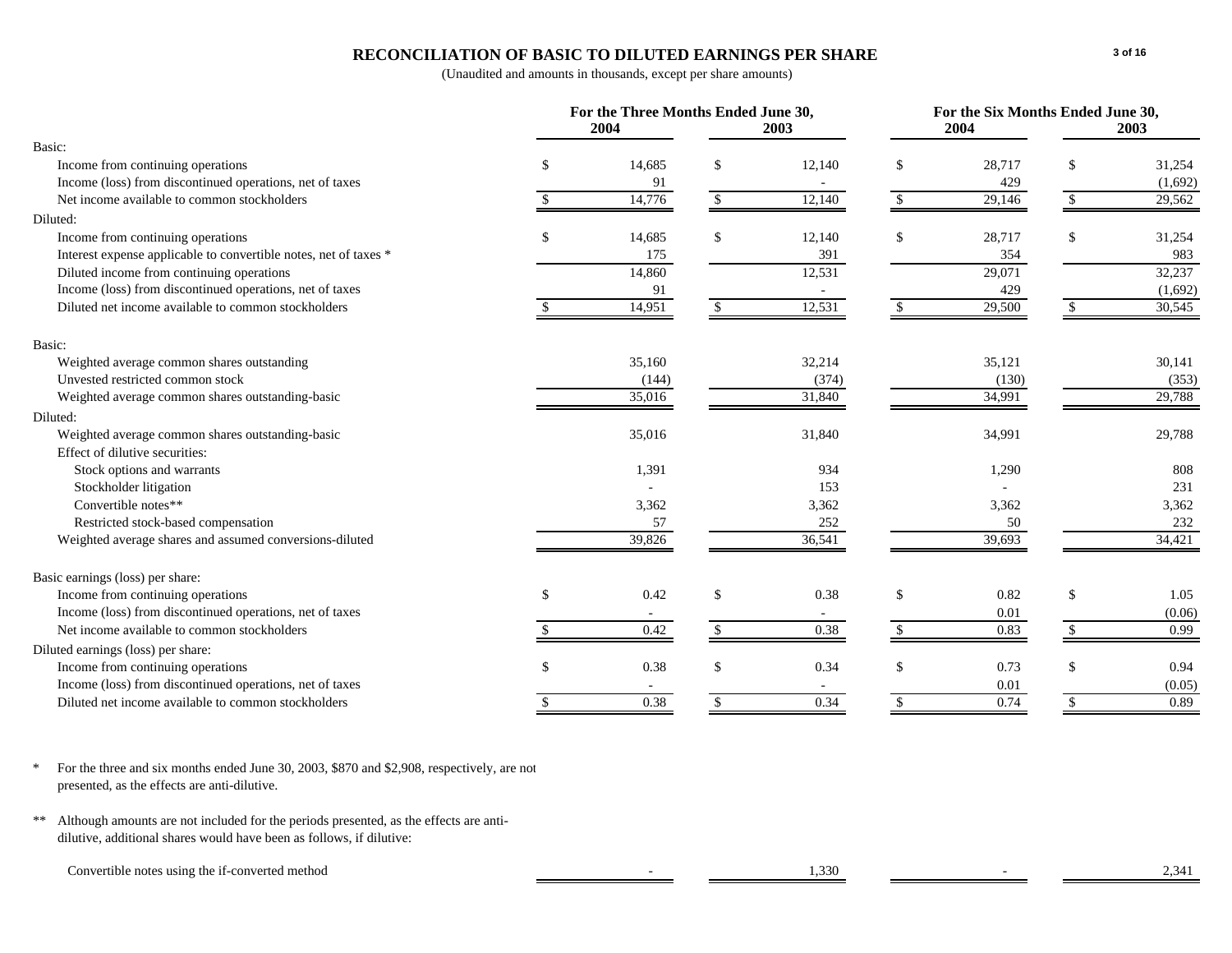## **RECONCILIATION OF BASIC TO DILUTED EARNINGS PER SHARE**

(Unaudited and amounts in thousands, except per share amounts)

|                                                                  |    | For the Three Months Ended June 30,<br>2004 |                    | 2003                     | For the Six Months Ended June 30,<br>2004<br>2003 |        |    |         |
|------------------------------------------------------------------|----|---------------------------------------------|--------------------|--------------------------|---------------------------------------------------|--------|----|---------|
| Basic:                                                           |    |                                             |                    |                          |                                                   |        |    |         |
| Income from continuing operations                                | \$ | 14,685                                      | \$                 | 12,140                   | \$                                                | 28,717 | \$ | 31,254  |
| Income (loss) from discontinued operations, net of taxes         |    | 91                                          |                    |                          |                                                   | 429    |    | (1,692) |
| Net income available to common stockholders                      |    | 14,776                                      | \$                 | 12,140                   | \$                                                | 29,146 | \$ | 29,562  |
| Diluted:                                                         |    |                                             |                    |                          |                                                   |        |    |         |
| Income from continuing operations                                | S  | 14,685                                      | \$                 | 12,140                   | \$                                                | 28,717 | \$ | 31,254  |
| Interest expense applicable to convertible notes, net of taxes * |    | 175                                         |                    | 391                      |                                                   | 354    |    | 983     |
| Diluted income from continuing operations                        |    | 14,860                                      |                    | 12,531                   |                                                   | 29,071 |    | 32,237  |
| Income (loss) from discontinued operations, net of taxes         |    | 91                                          |                    | $\overline{\phantom{a}}$ |                                                   | 429    |    | (1,692) |
| Diluted net income available to common stockholders              |    | 14,951                                      |                    | 12,531                   |                                                   | 29,500 |    | 30,545  |
| Basic:                                                           |    |                                             |                    |                          |                                                   |        |    |         |
| Weighted average common shares outstanding                       |    | 35,160                                      |                    | 32,214                   |                                                   | 35,121 |    | 30,141  |
| Unvested restricted common stock                                 |    | (144)                                       |                    | (374)                    |                                                   | (130)  |    | (353)   |
| Weighted average common shares outstanding-basic                 |    | 35,016                                      |                    | 31,840                   |                                                   | 34,991 |    | 29,788  |
| Diluted:                                                         |    |                                             |                    |                          |                                                   |        |    |         |
| Weighted average common shares outstanding-basic                 |    | 35,016                                      |                    | 31,840                   |                                                   | 34,991 |    | 29,788  |
| Effect of dilutive securities:                                   |    |                                             |                    |                          |                                                   |        |    |         |
| Stock options and warrants                                       |    | 1,391                                       |                    | 934                      |                                                   | 1,290  |    | 808     |
| Stockholder litigation                                           |    |                                             |                    | 153                      |                                                   |        |    | 231     |
| Convertible notes**                                              |    | 3,362                                       |                    | 3,362                    |                                                   | 3,362  |    | 3,362   |
| Restricted stock-based compensation                              |    | 57                                          |                    | 252                      |                                                   | 50     |    | 232     |
| Weighted average shares and assumed conversions-diluted          |    | 39,826                                      |                    | 36,541                   |                                                   | 39,693 |    | 34,421  |
| Basic earnings (loss) per share:                                 |    |                                             |                    |                          |                                                   |        |    |         |
| Income from continuing operations                                | \$ | 0.42                                        | <sup>\$</sup>      | 0.38                     | \$                                                | 0.82   | \$ | 1.05    |
| Income (loss) from discontinued operations, net of taxes         |    |                                             |                    |                          |                                                   | 0.01   |    | (0.06)  |
| Net income available to common stockholders                      |    | 0.42                                        | $\mathbf{\hat{s}}$ | 0.38                     | \$                                                | 0.83   | \$ | 0.99    |
| Diluted earnings (loss) per share:                               |    |                                             |                    |                          |                                                   |        |    |         |
| Income from continuing operations                                | S. | 0.38                                        | <sup>\$</sup>      | 0.34                     | \$                                                | 0.73   | \$ | 0.94    |
| Income (loss) from discontinued operations, net of taxes         |    |                                             |                    |                          |                                                   | 0.01   |    | (0.05)  |
| Diluted net income available to common stockholders              |    | 0.38                                        | \$                 | 0.34                     | \$                                                | 0.74   | \$ | 0.89    |

\* For the three and six months ended June 30, 2003, \$870 and \$2,908, respectively, are not presented, as the effects are anti-dilutive.

\*\* Although amounts are not included for the periods presented, as the effects are antidilutive, additional shares would have been as follows, if dilutive:

Convertible notes using the if-converted method 2,341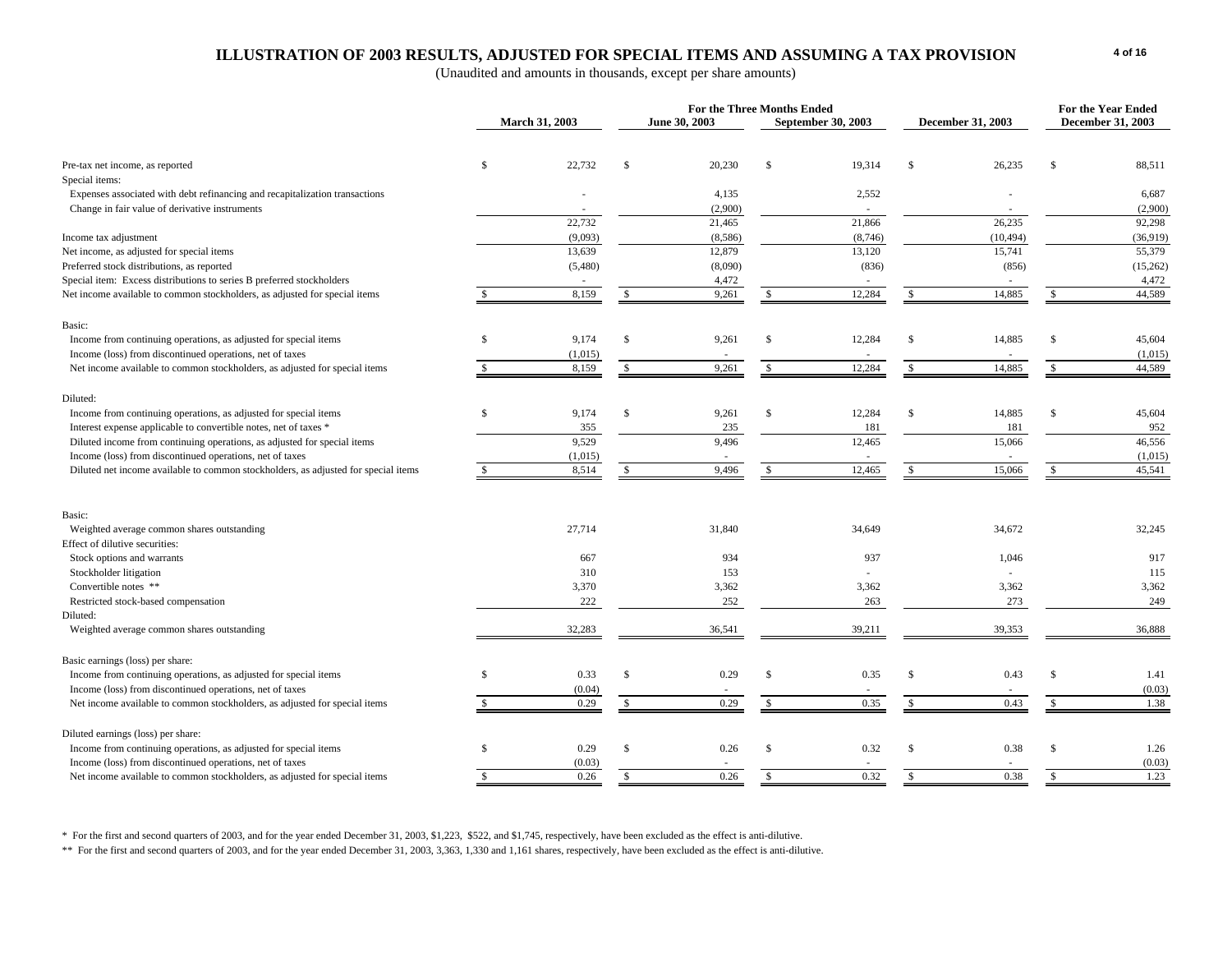### **ILLUSTRATION OF 2003 RESULTS, ADJUSTED FOR SPECIAL ITEMS AND ASSUMING A TAX PROVISION**

(Unaudited and amounts in thousands, except per share amounts)

|                                                                                    |                |         |               | For the Three Months Ended |               |                    |               |                   | <b>For the Year Ended</b> |                   |
|------------------------------------------------------------------------------------|----------------|---------|---------------|----------------------------|---------------|--------------------|---------------|-------------------|---------------------------|-------------------|
|                                                                                    | March 31, 2003 |         |               | June 30, 2003              |               | September 30, 2003 |               | December 31, 2003 |                           | December 31, 2003 |
|                                                                                    |                |         |               |                            |               |                    |               |                   |                           |                   |
| Pre-tax net income, as reported                                                    | <sup>\$</sup>  | 22,732  | $\mathbb{S}$  | 20,230                     | $\mathbb{S}$  | 19,314             | $\mathbb{S}$  | 26,235            | $\mathcal{S}$             | 88,511            |
| Special items:                                                                     |                |         |               |                            |               |                    |               |                   |                           |                   |
| Expenses associated with debt refinancing and recapitalization transactions        |                |         |               | 4,135                      |               | 2,552              |               |                   |                           | 6,687             |
| Change in fair value of derivative instruments                                     |                |         |               | (2,900)                    |               |                    |               |                   |                           | (2,900)           |
|                                                                                    |                | 22,732  |               | 21,465                     |               | 21,866             |               | 26,235            |                           | 92,298            |
| Income tax adjustment                                                              |                | (9,093) |               | (8,586)                    |               | (8,746)            |               | (10, 494)         |                           | (36,919)          |
| Net income, as adjusted for special items                                          |                | 13,639  |               | 12,879                     |               | 13,120             |               | 15,741            |                           | 55,379            |
| Preferred stock distributions, as reported                                         |                | (5,480) |               | (8,090)                    |               | (836)              |               | (856)             |                           | (15,262)          |
| Special item: Excess distributions to series B preferred stockholders              |                |         |               | 4,472                      |               |                    |               |                   |                           | 4,472             |
| Net income available to common stockholders, as adjusted for special items         |                | 8,159   | <b>S</b>      | 9,261                      | -S            | 12,284             | -S            | 14,885            |                           | 44,589            |
| Basic:                                                                             |                |         |               |                            |               |                    |               |                   |                           |                   |
| Income from continuing operations, as adjusted for special items                   | <sup>\$</sup>  | 9,174   | $\mathbb{S}$  | 9,261                      | $\mathbb{S}$  | 12,284             | \$            | 14,885            | $\mathcal{S}$             | 45,604            |
| Income (loss) from discontinued operations, net of taxes                           |                | (1,015) |               |                            |               |                    |               |                   |                           | (1,015)           |
| Net income available to common stockholders, as adjusted for special items         |                | 8,159   | S             | 9,261                      | $\mathbf{s}$  | 12,284             | $\mathbb{S}$  | 14,885            |                           | 44,589            |
| Diluted:                                                                           |                |         |               |                            |               |                    |               |                   |                           |                   |
| Income from continuing operations, as adjusted for special items                   | <sup>\$</sup>  | 9,174   | $\mathbb{S}$  | 9,261                      | $\mathbb{S}$  | 12,284             | $\mathbb{S}$  | 14,885            | -S                        | 45,604            |
| Interest expense applicable to convertible notes, net of taxes *                   |                | 355     |               | 235                        |               | 181                |               | 181               |                           | 952               |
| Diluted income from continuing operations, as adjusted for special items           |                | 9,529   |               | 9.496                      |               | 12,465             |               | 15,066            |                           | 46,556            |
| Income (loss) from discontinued operations, net of taxes                           |                | (1,015) |               |                            |               |                    |               |                   |                           | (1,015)           |
| Diluted net income available to common stockholders, as adjusted for special items |                | 8,514   | $\mathcal{S}$ | 9,496                      | <sup>\$</sup> | 12,465             | -S            | 15,066            | <sup>\$</sup>             | 45,541            |
|                                                                                    |                |         |               |                            |               |                    |               |                   |                           |                   |
| Basic:                                                                             |                |         |               |                            |               |                    |               |                   |                           |                   |
| Weighted average common shares outstanding                                         |                | 27,714  |               | 31,840                     |               | 34,649             |               | 34,672            |                           | 32,245            |
| Effect of dilutive securities:                                                     |                |         |               |                            |               |                    |               |                   |                           |                   |
| Stock options and warrants                                                         |                | 667     |               | 934                        |               | 937                |               | 1.046             |                           | 917               |
| Stockholder litigation                                                             |                | 310     |               | 153                        |               | ÷,                 |               |                   |                           | 115               |
| Convertible notes **                                                               |                | 3,370   |               | 3,362                      |               | 3,362              |               | 3,362             |                           | 3,362             |
| Restricted stock-based compensation                                                |                | 222     |               | 252                        |               | 263                |               | 273               |                           | 249               |
| Diluted:                                                                           |                |         |               |                            |               |                    |               |                   |                           |                   |
| Weighted average common shares outstanding                                         |                | 32,283  |               | 36,541                     |               | 39,211             |               | 39,353            |                           | 36,888            |
| Basic earnings (loss) per share:                                                   |                |         |               |                            |               |                    |               |                   |                           |                   |
| Income from continuing operations, as adjusted for special items                   | <b>S</b>       | 0.33    | $\mathbb{S}$  | 0.29                       | $\mathbb{S}$  | 0.35               | <sup>\$</sup> | 0.43              | -S                        | 1.41              |
| Income (loss) from discontinued operations, net of taxes                           |                | (0.04)  |               |                            |               |                    |               |                   |                           | (0.03)            |
| Net income available to common stockholders, as adjusted for special items         |                | 0.29    | <sup>\$</sup> | 0.29                       | $\mathbb{S}$  | 0.35               | $\mathbb{S}$  | 0.43              | \$.                       | 1.38              |
|                                                                                    |                |         |               |                            |               |                    |               |                   |                           |                   |
| Diluted earnings (loss) per share:                                                 |                |         |               |                            |               |                    |               |                   |                           |                   |
| Income from continuing operations, as adjusted for special items                   | <sup>\$</sup>  | 0.29    | $\mathbb{S}$  | 0.26                       | $\mathbb{S}$  | 0.32               | $\$$          | 0.38              | $\mathcal{S}$             | 1.26              |
| Income (loss) from discontinued operations, net of taxes                           |                | (0.03)  |               |                            |               |                    |               |                   |                           | (0.03)            |
| Net income available to common stockholders, as adjusted for special items         | <b>S</b>       | 0.26    | $\mathbf S$   | 0.26                       | $\mathbb{S}$  | 0.32               | $\mathbb{S}$  | 0.38              | $\mathcal{S}$             | 1.23              |

\* For the first and second quarters of 2003, and for the year ended December 31, 2003, \$1,223, \$522, and \$1,745, respectively, have been excluded as the effect is anti-dilutive.

\*\* For the first and second quarters of 2003, and for the year ended December 31, 2003, 3,363, 1,330 and 1,161 shares, respectively, have been excluded as the effect is anti-dilutive.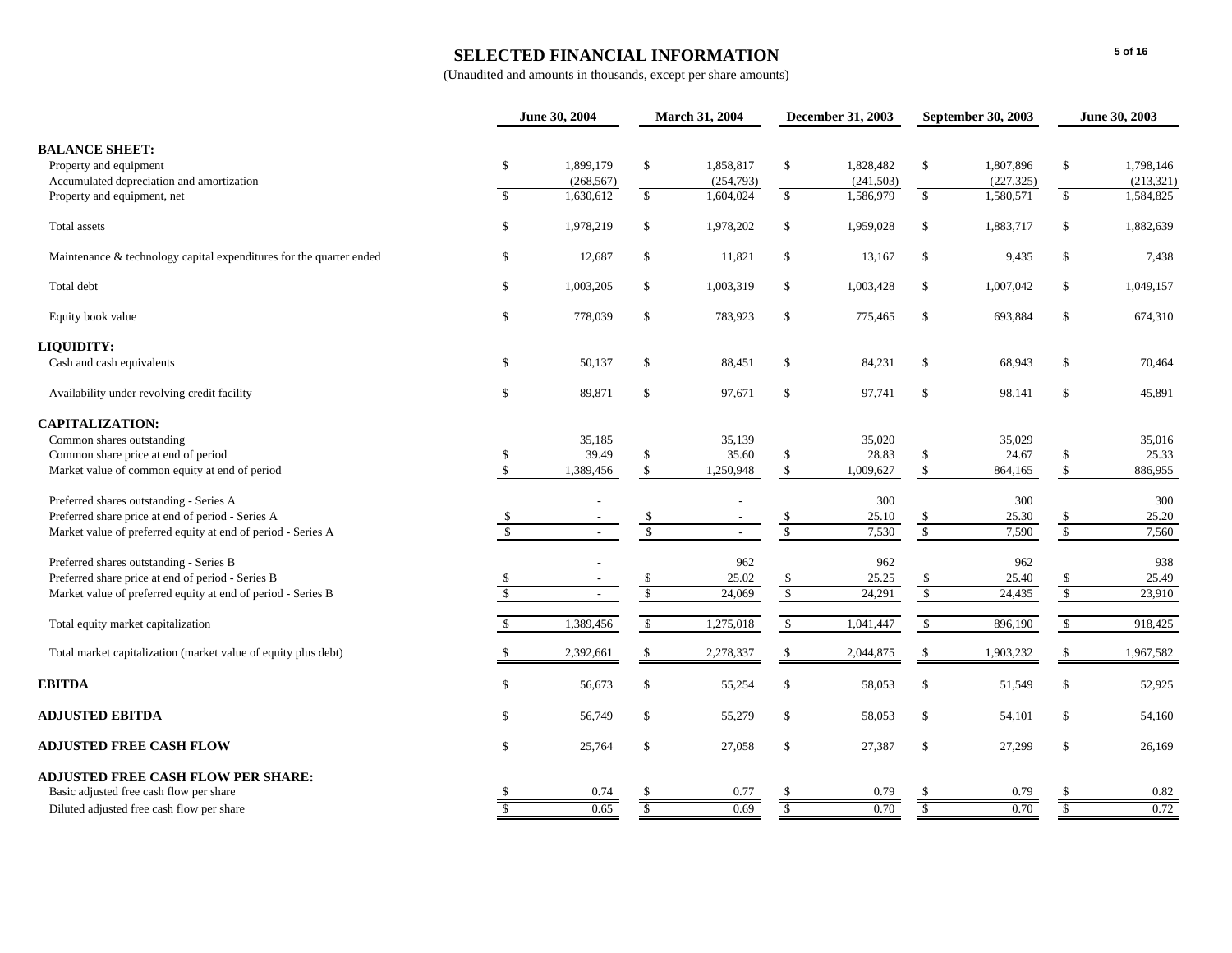### **SELECTED FINANCIAL INFORMATION**

|                                                                                              |                         | June 30, 2004           |                      | March 31, 2004         |                      | December 31, 2003       | <b>September 30, 2003</b> |                         |                         | June 30, 2003           |
|----------------------------------------------------------------------------------------------|-------------------------|-------------------------|----------------------|------------------------|----------------------|-------------------------|---------------------------|-------------------------|-------------------------|-------------------------|
| <b>BALANCE SHEET:</b><br>Property and equipment<br>Accumulated depreciation and amortization | $\mathbb{S}$            | 1.899.179<br>(268, 567) | \$                   | 1,858,817<br>(254,793) | $\mathbb{S}$         | 1,828,482<br>(241, 503) | $\mathbb{S}$              | 1,807,896<br>(227, 325) | $\mathbb{S}$            | 1,798,146<br>(213, 321) |
| Property and equipment, net                                                                  | $\mathcal{S}$           | 1,630,612               | $\mathbb{S}$         | 1,604,024              | $\mathbb{S}$         | 1,586,979               | $\mathbb{S}$              | 1,580,571               | $\sqrt{3}$              | 1,584,825               |
| Total assets                                                                                 | \$                      | 1,978,219               | \$                   | 1,978,202              | $\mathbb{S}$         | 1,959,028               | $\mathsf{\$}$             | 1,883,717               | $\$$                    | 1,882,639               |
| Maintenance & technology capital expenditures for the quarter ended                          | \$                      | 12,687                  | \$                   | 11,821                 | $\mathbb{S}$         | 13,167                  | $\mathsf{\$}$             | 9,435                   | $\mathbb S$             | 7,438                   |
| Total debt                                                                                   | \$                      | 1,003,205               | \$                   | 1,003,319              | $\mathbb{S}$         | 1,003,428               | $\mathbb{S}$              | 1,007,042               | $\mathbb S$             | 1,049,157               |
| Equity book value                                                                            | \$                      | 778,039                 | \$                   | 783,923                | \$                   | 775,465                 | \$                        | 693,884                 | \$                      | 674,310                 |
| LIQUIDITY:                                                                                   |                         |                         |                      |                        |                      |                         |                           |                         |                         |                         |
| Cash and cash equivalents                                                                    | \$                      | 50,137                  | \$                   | 88,451                 | \$                   | 84,231                  | \$                        | 68,943                  | \$                      | 70,464                  |
| Availability under revolving credit facility                                                 | $\mathbb S$             | 89,871                  | \$                   | 97,671                 | $\mathbb{S}$         | 97,741                  | $\mathcal{S}$             | 98,141                  | $\mathbb S$             | 45,891                  |
| <b>CAPITALIZATION:</b>                                                                       |                         |                         |                      |                        |                      |                         |                           |                         |                         |                         |
| Common shares outstanding                                                                    |                         | 35,185                  |                      | 35,139                 |                      | 35,020                  |                           | 35,029                  |                         | 35,016                  |
| Common share price at end of period                                                          | <b>S</b>                | 39.49                   | \$                   | 35.60                  | $\frac{1}{2}$        | 28.83                   | $\frac{\$}{\$}$           | 24.67                   | $\frac{\$}{\$}$         | 25.33                   |
| Market value of common equity at end of period                                               | $\overline{\mathbf{s}}$ | 1,389,456               | $\sqrt{\frac{2}{5}}$ | 1,250,948              | $\sqrt{\frac{2}{5}}$ | 1,009,627               |                           | 864,165                 |                         | 886,955                 |
| Preferred shares outstanding - Series A                                                      |                         |                         |                      |                        |                      | 300                     |                           | 300                     |                         | 300                     |
| Preferred share price at end of period - Series A                                            |                         |                         | $\frac{\$}{\$}$      |                        |                      | 25.10                   | $\frac{\$}{\$}$           | 25.30                   | $\frac{\$}{\$}$         | 25.20                   |
| Market value of preferred equity at end of period - Series A                                 | $\overline{\mathbf{s}}$ | $\sim$                  |                      | $\sim$                 | $\overline{\$}$      | 7,530                   |                           | 7,590                   |                         | 7,560                   |
| Preferred shares outstanding - Series B                                                      |                         |                         |                      | 962                    |                      | 962                     |                           | 962                     |                         | 938                     |
| Preferred share price at end of period - Series B                                            |                         |                         | \$                   | 25.02                  |                      | 25.25                   |                           | 25.40                   |                         | 25.49                   |
| Market value of preferred equity at end of period - Series B                                 |                         |                         | $\mathbb{S}$         | 24,069                 | $\frac{\$}{\$}$      | 24,291                  | $\frac{\$}{\$}$           | 24,435                  | $\frac{\$}{\$}$         | 23,910                  |
| Total equity market capitalization                                                           |                         | 1,389,456               | $\sqrt{\ }$          | 1,275,018              | $\mathbb{S}$         | 1,041,447               | $\sqrt{\ }$               | 896,190                 | $\sqrt{\frac{2}{3}}$    | 918,425                 |
| Total market capitalization (market value of equity plus debt)                               |                         | 2,392,661               | \$                   | 2,278,337              | \$                   | 2,044,875               | \$                        | 1,903,232               | \$                      | 1,967,582               |
| <b>EBITDA</b>                                                                                | $\mathbb{S}$            | 56,673                  | \$                   | 55,254                 | \$                   | 58,053                  | \$                        | 51,549                  | $\mathbb S$             | 52,925                  |
| <b>ADJUSTED EBITDA</b>                                                                       | \$                      | 56,749                  | \$                   | 55,279                 | $\mathbb{S}$         | 58,053                  | \$                        | 54,101                  | \$                      | 54,160                  |
| <b>ADJUSTED FREE CASH FLOW</b>                                                               | $\mathbb{S}$            | 25,764                  | \$                   | 27,058                 | \$                   | 27,387                  | $\mathcal{S}$             | 27,299                  | $\mathbb S$             | 26,169                  |
| <b>ADJUSTED FREE CASH FLOW PER SHARE:</b>                                                    |                         |                         |                      |                        |                      |                         |                           |                         |                         |                         |
| Basic adjusted free cash flow per share                                                      |                         | 0.74                    |                      | 0.77                   |                      | 0.79                    |                           | 0.79                    |                         | 0.82                    |
| Diluted adjusted free cash flow per share                                                    | S                       | 0.65                    | \$                   | 0.69                   | S                    | 0.70                    | $\overline{\S}$           | 0.70                    | $\overline{\mathbf{S}}$ | 0.72                    |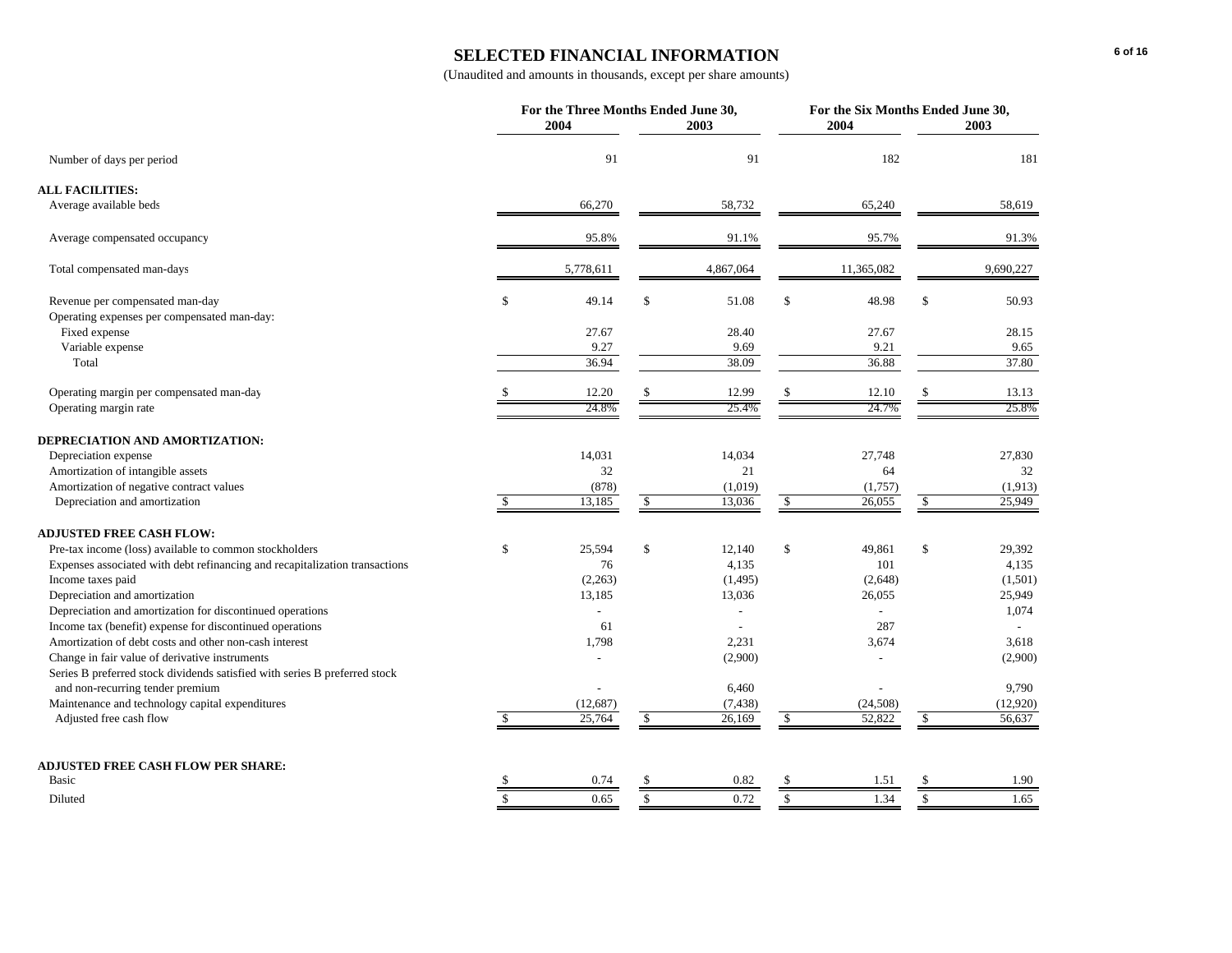### **SELECTED FINANCIAL INFORMATION**

| 91<br>91<br>182<br>Number of days per period<br>66,270<br>58,732<br>65,240<br>58,619<br>Average available beds<br>91.1%<br>95.7%<br>91.3%<br>95.8%<br>Average compensated occupancy<br>5,778,611<br>9,690,227<br>Total compensated man-days<br>4,867,064<br>11,365,082<br>$\mathbb{S}$<br>$\mathbf S$<br>Revenue per compensated man-day<br>\$<br>49.14<br>51.08<br>\$<br>48.98<br>50.93<br>Operating expenses per compensated man-day:<br>Fixed expense<br>27.67<br>27.67<br>28.40<br>28.15<br>Variable expense<br>9.27<br>9.69<br>9.21<br>9.65<br>36.94<br>38.09<br>37.80<br>Total<br>36.88<br>Operating margin per compensated man-day<br>12.20<br>12.99<br>13.13<br>12.10<br>25.4%<br>24.7%<br>24.8%<br>25.8%<br>Operating margin rate<br>DEPRECIATION AND AMORTIZATION:<br>Depreciation expense<br>14,031<br>14,034<br>27,748<br>27,830<br>32<br>21<br>64<br>32<br>Amortization of intangible assets<br>Amortization of negative contract values<br>(878)<br>(1,019)<br>(1,757)<br>(1,913)<br>25,949<br>Depreciation and amortization<br>13,185<br>$\sqrt{2}$<br>13,036<br>$\sqrt{2}$<br>26,055<br>$\sqrt{3}$<br><sup>\$</sup><br><b>ADJUSTED FREE CASH FLOW:</b><br>\$<br>\$<br>\$<br>\$<br>Pre-tax income (loss) available to common stockholders<br>25,594<br>12,140<br>49,861<br>29,392<br>Expenses associated with debt refinancing and recapitalization transactions<br>76<br>4,135<br>101<br>4,135<br>Income taxes paid<br>(2, 263)<br>(2,648)<br>(1,501)<br>(1,495)<br>Depreciation and amortization<br>25,949<br>13,185<br>13,036<br>26,055<br>Depreciation and amortization for discontinued operations<br>1,074<br>$\overline{a}$<br>Income tax (benefit) expense for discontinued operations<br>287<br>61<br>Amortization of debt costs and other non-cash interest<br>1,798<br>2,231<br>3,674<br>3,618<br>Change in fair value of derivative instruments<br>(2,900)<br>(2,900)<br>Series B preferred stock dividends satisfied with series B preferred stock<br>and non-recurring tender premium<br>6,460<br>9,790<br>Maintenance and technology capital expenditures<br>(24, 508)<br>(12, 687)<br>(7, 438)<br>Adjusted free cash flow<br>25,764<br>26,169<br>52,822<br>56,637<br>\$<br>S<br>-S<br>ADJUSTED FREE CASH FLOW PER SHARE:<br>Basic<br>0.82<br>1.90<br>0.74<br>1.51<br>$\overline{\mathbf{s}}$<br>$\mathbf S$<br>1.34<br>0.65<br>0.72<br>$\mathcal{S}$<br><sup>\$</sup><br>1.65<br>Diluted |                        | For the Three Months Ended June 30,<br>2004 | 2003 | For the Six Months Ended June 30,<br>2004<br>2003 |  |  |          |
|-------------------------------------------------------------------------------------------------------------------------------------------------------------------------------------------------------------------------------------------------------------------------------------------------------------------------------------------------------------------------------------------------------------------------------------------------------------------------------------------------------------------------------------------------------------------------------------------------------------------------------------------------------------------------------------------------------------------------------------------------------------------------------------------------------------------------------------------------------------------------------------------------------------------------------------------------------------------------------------------------------------------------------------------------------------------------------------------------------------------------------------------------------------------------------------------------------------------------------------------------------------------------------------------------------------------------------------------------------------------------------------------------------------------------------------------------------------------------------------------------------------------------------------------------------------------------------------------------------------------------------------------------------------------------------------------------------------------------------------------------------------------------------------------------------------------------------------------------------------------------------------------------------------------------------------------------------------------------------------------------------------------------------------------------------------------------------------------------------------------------------------------------------------------------------------------------------------------------------------------------------------------------------------------------------------------------------------------------------------------------------------------------------------------------|------------------------|---------------------------------------------|------|---------------------------------------------------|--|--|----------|
|                                                                                                                                                                                                                                                                                                                                                                                                                                                                                                                                                                                                                                                                                                                                                                                                                                                                                                                                                                                                                                                                                                                                                                                                                                                                                                                                                                                                                                                                                                                                                                                                                                                                                                                                                                                                                                                                                                                                                                                                                                                                                                                                                                                                                                                                                                                                                                                                                         |                        |                                             |      |                                                   |  |  |          |
|                                                                                                                                                                                                                                                                                                                                                                                                                                                                                                                                                                                                                                                                                                                                                                                                                                                                                                                                                                                                                                                                                                                                                                                                                                                                                                                                                                                                                                                                                                                                                                                                                                                                                                                                                                                                                                                                                                                                                                                                                                                                                                                                                                                                                                                                                                                                                                                                                         |                        |                                             |      |                                                   |  |  | 181      |
|                                                                                                                                                                                                                                                                                                                                                                                                                                                                                                                                                                                                                                                                                                                                                                                                                                                                                                                                                                                                                                                                                                                                                                                                                                                                                                                                                                                                                                                                                                                                                                                                                                                                                                                                                                                                                                                                                                                                                                                                                                                                                                                                                                                                                                                                                                                                                                                                                         | <b>ALL FACILITIES:</b> |                                             |      |                                                   |  |  |          |
|                                                                                                                                                                                                                                                                                                                                                                                                                                                                                                                                                                                                                                                                                                                                                                                                                                                                                                                                                                                                                                                                                                                                                                                                                                                                                                                                                                                                                                                                                                                                                                                                                                                                                                                                                                                                                                                                                                                                                                                                                                                                                                                                                                                                                                                                                                                                                                                                                         |                        |                                             |      |                                                   |  |  |          |
|                                                                                                                                                                                                                                                                                                                                                                                                                                                                                                                                                                                                                                                                                                                                                                                                                                                                                                                                                                                                                                                                                                                                                                                                                                                                                                                                                                                                                                                                                                                                                                                                                                                                                                                                                                                                                                                                                                                                                                                                                                                                                                                                                                                                                                                                                                                                                                                                                         |                        |                                             |      |                                                   |  |  |          |
|                                                                                                                                                                                                                                                                                                                                                                                                                                                                                                                                                                                                                                                                                                                                                                                                                                                                                                                                                                                                                                                                                                                                                                                                                                                                                                                                                                                                                                                                                                                                                                                                                                                                                                                                                                                                                                                                                                                                                                                                                                                                                                                                                                                                                                                                                                                                                                                                                         |                        |                                             |      |                                                   |  |  |          |
|                                                                                                                                                                                                                                                                                                                                                                                                                                                                                                                                                                                                                                                                                                                                                                                                                                                                                                                                                                                                                                                                                                                                                                                                                                                                                                                                                                                                                                                                                                                                                                                                                                                                                                                                                                                                                                                                                                                                                                                                                                                                                                                                                                                                                                                                                                                                                                                                                         |                        |                                             |      |                                                   |  |  |          |
|                                                                                                                                                                                                                                                                                                                                                                                                                                                                                                                                                                                                                                                                                                                                                                                                                                                                                                                                                                                                                                                                                                                                                                                                                                                                                                                                                                                                                                                                                                                                                                                                                                                                                                                                                                                                                                                                                                                                                                                                                                                                                                                                                                                                                                                                                                                                                                                                                         |                        |                                             |      |                                                   |  |  |          |
|                                                                                                                                                                                                                                                                                                                                                                                                                                                                                                                                                                                                                                                                                                                                                                                                                                                                                                                                                                                                                                                                                                                                                                                                                                                                                                                                                                                                                                                                                                                                                                                                                                                                                                                                                                                                                                                                                                                                                                                                                                                                                                                                                                                                                                                                                                                                                                                                                         |                        |                                             |      |                                                   |  |  |          |
|                                                                                                                                                                                                                                                                                                                                                                                                                                                                                                                                                                                                                                                                                                                                                                                                                                                                                                                                                                                                                                                                                                                                                                                                                                                                                                                                                                                                                                                                                                                                                                                                                                                                                                                                                                                                                                                                                                                                                                                                                                                                                                                                                                                                                                                                                                                                                                                                                         |                        |                                             |      |                                                   |  |  |          |
|                                                                                                                                                                                                                                                                                                                                                                                                                                                                                                                                                                                                                                                                                                                                                                                                                                                                                                                                                                                                                                                                                                                                                                                                                                                                                                                                                                                                                                                                                                                                                                                                                                                                                                                                                                                                                                                                                                                                                                                                                                                                                                                                                                                                                                                                                                                                                                                                                         |                        |                                             |      |                                                   |  |  |          |
|                                                                                                                                                                                                                                                                                                                                                                                                                                                                                                                                                                                                                                                                                                                                                                                                                                                                                                                                                                                                                                                                                                                                                                                                                                                                                                                                                                                                                                                                                                                                                                                                                                                                                                                                                                                                                                                                                                                                                                                                                                                                                                                                                                                                                                                                                                                                                                                                                         |                        |                                             |      |                                                   |  |  |          |
|                                                                                                                                                                                                                                                                                                                                                                                                                                                                                                                                                                                                                                                                                                                                                                                                                                                                                                                                                                                                                                                                                                                                                                                                                                                                                                                                                                                                                                                                                                                                                                                                                                                                                                                                                                                                                                                                                                                                                                                                                                                                                                                                                                                                                                                                                                                                                                                                                         |                        |                                             |      |                                                   |  |  |          |
|                                                                                                                                                                                                                                                                                                                                                                                                                                                                                                                                                                                                                                                                                                                                                                                                                                                                                                                                                                                                                                                                                                                                                                                                                                                                                                                                                                                                                                                                                                                                                                                                                                                                                                                                                                                                                                                                                                                                                                                                                                                                                                                                                                                                                                                                                                                                                                                                                         |                        |                                             |      |                                                   |  |  |          |
|                                                                                                                                                                                                                                                                                                                                                                                                                                                                                                                                                                                                                                                                                                                                                                                                                                                                                                                                                                                                                                                                                                                                                                                                                                                                                                                                                                                                                                                                                                                                                                                                                                                                                                                                                                                                                                                                                                                                                                                                                                                                                                                                                                                                                                                                                                                                                                                                                         |                        |                                             |      |                                                   |  |  |          |
|                                                                                                                                                                                                                                                                                                                                                                                                                                                                                                                                                                                                                                                                                                                                                                                                                                                                                                                                                                                                                                                                                                                                                                                                                                                                                                                                                                                                                                                                                                                                                                                                                                                                                                                                                                                                                                                                                                                                                                                                                                                                                                                                                                                                                                                                                                                                                                                                                         |                        |                                             |      |                                                   |  |  |          |
|                                                                                                                                                                                                                                                                                                                                                                                                                                                                                                                                                                                                                                                                                                                                                                                                                                                                                                                                                                                                                                                                                                                                                                                                                                                                                                                                                                                                                                                                                                                                                                                                                                                                                                                                                                                                                                                                                                                                                                                                                                                                                                                                                                                                                                                                                                                                                                                                                         |                        |                                             |      |                                                   |  |  |          |
|                                                                                                                                                                                                                                                                                                                                                                                                                                                                                                                                                                                                                                                                                                                                                                                                                                                                                                                                                                                                                                                                                                                                                                                                                                                                                                                                                                                                                                                                                                                                                                                                                                                                                                                                                                                                                                                                                                                                                                                                                                                                                                                                                                                                                                                                                                                                                                                                                         |                        |                                             |      |                                                   |  |  |          |
|                                                                                                                                                                                                                                                                                                                                                                                                                                                                                                                                                                                                                                                                                                                                                                                                                                                                                                                                                                                                                                                                                                                                                                                                                                                                                                                                                                                                                                                                                                                                                                                                                                                                                                                                                                                                                                                                                                                                                                                                                                                                                                                                                                                                                                                                                                                                                                                                                         |                        |                                             |      |                                                   |  |  |          |
|                                                                                                                                                                                                                                                                                                                                                                                                                                                                                                                                                                                                                                                                                                                                                                                                                                                                                                                                                                                                                                                                                                                                                                                                                                                                                                                                                                                                                                                                                                                                                                                                                                                                                                                                                                                                                                                                                                                                                                                                                                                                                                                                                                                                                                                                                                                                                                                                                         |                        |                                             |      |                                                   |  |  |          |
|                                                                                                                                                                                                                                                                                                                                                                                                                                                                                                                                                                                                                                                                                                                                                                                                                                                                                                                                                                                                                                                                                                                                                                                                                                                                                                                                                                                                                                                                                                                                                                                                                                                                                                                                                                                                                                                                                                                                                                                                                                                                                                                                                                                                                                                                                                                                                                                                                         |                        |                                             |      |                                                   |  |  |          |
|                                                                                                                                                                                                                                                                                                                                                                                                                                                                                                                                                                                                                                                                                                                                                                                                                                                                                                                                                                                                                                                                                                                                                                                                                                                                                                                                                                                                                                                                                                                                                                                                                                                                                                                                                                                                                                                                                                                                                                                                                                                                                                                                                                                                                                                                                                                                                                                                                         |                        |                                             |      |                                                   |  |  |          |
|                                                                                                                                                                                                                                                                                                                                                                                                                                                                                                                                                                                                                                                                                                                                                                                                                                                                                                                                                                                                                                                                                                                                                                                                                                                                                                                                                                                                                                                                                                                                                                                                                                                                                                                                                                                                                                                                                                                                                                                                                                                                                                                                                                                                                                                                                                                                                                                                                         |                        |                                             |      |                                                   |  |  |          |
|                                                                                                                                                                                                                                                                                                                                                                                                                                                                                                                                                                                                                                                                                                                                                                                                                                                                                                                                                                                                                                                                                                                                                                                                                                                                                                                                                                                                                                                                                                                                                                                                                                                                                                                                                                                                                                                                                                                                                                                                                                                                                                                                                                                                                                                                                                                                                                                                                         |                        |                                             |      |                                                   |  |  |          |
|                                                                                                                                                                                                                                                                                                                                                                                                                                                                                                                                                                                                                                                                                                                                                                                                                                                                                                                                                                                                                                                                                                                                                                                                                                                                                                                                                                                                                                                                                                                                                                                                                                                                                                                                                                                                                                                                                                                                                                                                                                                                                                                                                                                                                                                                                                                                                                                                                         |                        |                                             |      |                                                   |  |  |          |
|                                                                                                                                                                                                                                                                                                                                                                                                                                                                                                                                                                                                                                                                                                                                                                                                                                                                                                                                                                                                                                                                                                                                                                                                                                                                                                                                                                                                                                                                                                                                                                                                                                                                                                                                                                                                                                                                                                                                                                                                                                                                                                                                                                                                                                                                                                                                                                                                                         |                        |                                             |      |                                                   |  |  |          |
|                                                                                                                                                                                                                                                                                                                                                                                                                                                                                                                                                                                                                                                                                                                                                                                                                                                                                                                                                                                                                                                                                                                                                                                                                                                                                                                                                                                                                                                                                                                                                                                                                                                                                                                                                                                                                                                                                                                                                                                                                                                                                                                                                                                                                                                                                                                                                                                                                         |                        |                                             |      |                                                   |  |  |          |
|                                                                                                                                                                                                                                                                                                                                                                                                                                                                                                                                                                                                                                                                                                                                                                                                                                                                                                                                                                                                                                                                                                                                                                                                                                                                                                                                                                                                                                                                                                                                                                                                                                                                                                                                                                                                                                                                                                                                                                                                                                                                                                                                                                                                                                                                                                                                                                                                                         |                        |                                             |      |                                                   |  |  |          |
|                                                                                                                                                                                                                                                                                                                                                                                                                                                                                                                                                                                                                                                                                                                                                                                                                                                                                                                                                                                                                                                                                                                                                                                                                                                                                                                                                                                                                                                                                                                                                                                                                                                                                                                                                                                                                                                                                                                                                                                                                                                                                                                                                                                                                                                                                                                                                                                                                         |                        |                                             |      |                                                   |  |  | (12,920) |
|                                                                                                                                                                                                                                                                                                                                                                                                                                                                                                                                                                                                                                                                                                                                                                                                                                                                                                                                                                                                                                                                                                                                                                                                                                                                                                                                                                                                                                                                                                                                                                                                                                                                                                                                                                                                                                                                                                                                                                                                                                                                                                                                                                                                                                                                                                                                                                                                                         |                        |                                             |      |                                                   |  |  |          |
|                                                                                                                                                                                                                                                                                                                                                                                                                                                                                                                                                                                                                                                                                                                                                                                                                                                                                                                                                                                                                                                                                                                                                                                                                                                                                                                                                                                                                                                                                                                                                                                                                                                                                                                                                                                                                                                                                                                                                                                                                                                                                                                                                                                                                                                                                                                                                                                                                         |                        |                                             |      |                                                   |  |  |          |
|                                                                                                                                                                                                                                                                                                                                                                                                                                                                                                                                                                                                                                                                                                                                                                                                                                                                                                                                                                                                                                                                                                                                                                                                                                                                                                                                                                                                                                                                                                                                                                                                                                                                                                                                                                                                                                                                                                                                                                                                                                                                                                                                                                                                                                                                                                                                                                                                                         |                        |                                             |      |                                                   |  |  |          |
|                                                                                                                                                                                                                                                                                                                                                                                                                                                                                                                                                                                                                                                                                                                                                                                                                                                                                                                                                                                                                                                                                                                                                                                                                                                                                                                                                                                                                                                                                                                                                                                                                                                                                                                                                                                                                                                                                                                                                                                                                                                                                                                                                                                                                                                                                                                                                                                                                         |                        |                                             |      |                                                   |  |  |          |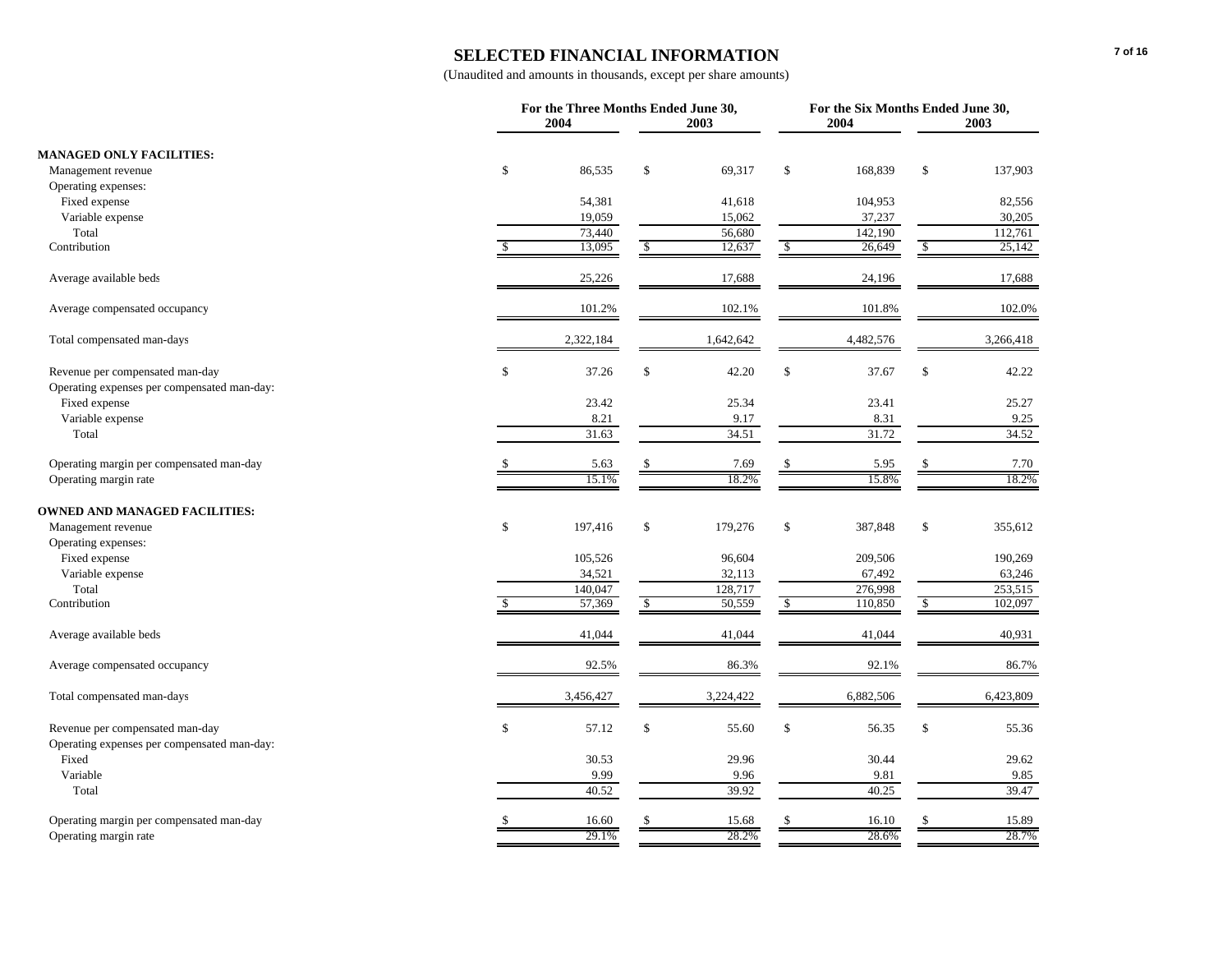### **SELECTED FINANCIAL INFORMATION**

| 2003<br><b>MANAGED ONLY FACILITIES:</b><br>\$<br>\$<br>\$<br>86,535<br>69,317<br>\$<br>168,839<br>137,903<br>Management revenue<br>Operating expenses:<br>Fixed expense<br>54,381<br>41,618<br>104,953<br>82,556<br>19,059<br>Variable expense<br>15,062<br>37,237<br>30,205<br>Total<br>73,440<br>56,680<br>142,190<br>112,761<br>Contribution<br>13,095<br>12,637<br>26,649<br>25,142<br>$\sqrt{2}$<br>$\mathcal{S}$<br>$\sqrt{2}$<br>S<br>Average available beds<br>25,226<br>24,196<br>17,688<br>17,688<br>102.0%<br>101.2%<br>102.1%<br>101.8%<br>Average compensated occupancy<br>2,322,184<br>4,482,576<br>Total compensated man-days<br>1,642,642<br>3,266,418<br>\$<br>$\mathbb{S}$<br>\$<br>42.20<br>$\$$<br>37.67<br>Revenue per compensated man-day<br>37.26<br>42.22<br>Operating expenses per compensated man-day:<br>Fixed expense<br>23.42<br>25.34<br>23.41<br>25.27<br>Variable expense<br>8.21<br>8.31<br>9.25<br>9.17<br>Total<br>31.63<br>34.51<br>31.72<br>34.52<br>7.69<br>5.95<br>7.70<br>Operating margin per compensated man-day<br>5.63<br>$\mathbb{S}$<br>$\mathcal{S}$<br>\$<br>18.2%<br>18.2%<br>Operating margin rate<br>15.1%<br>15.8%<br><b>OWNED AND MANAGED FACILITIES:</b><br>\$<br>\$<br>\$<br>\$<br>197,416<br>179,276<br>387,848<br>Management revenue<br>355,612<br>Operating expenses:<br>105,526<br>96,604<br>Fixed expense<br>209,506<br>190,269<br>Variable expense<br>34,521<br>32,113<br>67,492<br>63,246<br>Total<br>140,047<br>128,717<br>276,998<br>253,515<br>Contribution<br>57,369<br>50,559<br>110,850<br>102,097<br>$\mathbb{S}$<br>\$<br>$\mathbb{S}$<br>\$.<br>Average available beds<br>41,044<br>41,044<br>41,044<br>40,931<br>92.5%<br>86.3%<br>92.1%<br>86.7%<br>Average compensated occupancy<br>Total compensated man-days<br>3,456,427<br>3,224,422<br>6,882,506<br>6,423,809<br>\$<br>57.12<br>\$<br>55.60<br>$\mathbb{S}$<br>56.35<br>$\mathbb{S}$<br>Revenue per compensated man-day<br>55.36<br>Operating expenses per compensated man-day:<br>Fixed<br>30.53<br>29.62<br>29.96<br>30.44<br>Variable<br>9.99<br>9.81<br>9.85<br>9.96<br>Total<br>40.52<br>39.92<br>40.25<br>39.47<br>$\mathbf S$<br>Operating margin per compensated man-day<br>16.60<br><sup>\$</sup><br>15.68<br>\$<br>16.10<br>15.89<br>28.7%<br>29.1%<br>28.2%<br>28.6%<br>Operating margin rate |  | For the Three Months Ended June 30, |  | For the Six Months Ended June 30, |      |  |      |
|-----------------------------------------------------------------------------------------------------------------------------------------------------------------------------------------------------------------------------------------------------------------------------------------------------------------------------------------------------------------------------------------------------------------------------------------------------------------------------------------------------------------------------------------------------------------------------------------------------------------------------------------------------------------------------------------------------------------------------------------------------------------------------------------------------------------------------------------------------------------------------------------------------------------------------------------------------------------------------------------------------------------------------------------------------------------------------------------------------------------------------------------------------------------------------------------------------------------------------------------------------------------------------------------------------------------------------------------------------------------------------------------------------------------------------------------------------------------------------------------------------------------------------------------------------------------------------------------------------------------------------------------------------------------------------------------------------------------------------------------------------------------------------------------------------------------------------------------------------------------------------------------------------------------------------------------------------------------------------------------------------------------------------------------------------------------------------------------------------------------------------------------------------------------------------------------------------------------------------------------------------------------------------------------------------------------------------------------|--|-------------------------------------|--|-----------------------------------|------|--|------|
|                                                                                                                                                                                                                                                                                                                                                                                                                                                                                                                                                                                                                                                                                                                                                                                                                                                                                                                                                                                                                                                                                                                                                                                                                                                                                                                                                                                                                                                                                                                                                                                                                                                                                                                                                                                                                                                                                                                                                                                                                                                                                                                                                                                                                                                                                                                                         |  | 2004                                |  |                                   | 2004 |  | 2003 |
|                                                                                                                                                                                                                                                                                                                                                                                                                                                                                                                                                                                                                                                                                                                                                                                                                                                                                                                                                                                                                                                                                                                                                                                                                                                                                                                                                                                                                                                                                                                                                                                                                                                                                                                                                                                                                                                                                                                                                                                                                                                                                                                                                                                                                                                                                                                                         |  |                                     |  |                                   |      |  |      |
|                                                                                                                                                                                                                                                                                                                                                                                                                                                                                                                                                                                                                                                                                                                                                                                                                                                                                                                                                                                                                                                                                                                                                                                                                                                                                                                                                                                                                                                                                                                                                                                                                                                                                                                                                                                                                                                                                                                                                                                                                                                                                                                                                                                                                                                                                                                                         |  |                                     |  |                                   |      |  |      |
|                                                                                                                                                                                                                                                                                                                                                                                                                                                                                                                                                                                                                                                                                                                                                                                                                                                                                                                                                                                                                                                                                                                                                                                                                                                                                                                                                                                                                                                                                                                                                                                                                                                                                                                                                                                                                                                                                                                                                                                                                                                                                                                                                                                                                                                                                                                                         |  |                                     |  |                                   |      |  |      |
|                                                                                                                                                                                                                                                                                                                                                                                                                                                                                                                                                                                                                                                                                                                                                                                                                                                                                                                                                                                                                                                                                                                                                                                                                                                                                                                                                                                                                                                                                                                                                                                                                                                                                                                                                                                                                                                                                                                                                                                                                                                                                                                                                                                                                                                                                                                                         |  |                                     |  |                                   |      |  |      |
|                                                                                                                                                                                                                                                                                                                                                                                                                                                                                                                                                                                                                                                                                                                                                                                                                                                                                                                                                                                                                                                                                                                                                                                                                                                                                                                                                                                                                                                                                                                                                                                                                                                                                                                                                                                                                                                                                                                                                                                                                                                                                                                                                                                                                                                                                                                                         |  |                                     |  |                                   |      |  |      |
|                                                                                                                                                                                                                                                                                                                                                                                                                                                                                                                                                                                                                                                                                                                                                                                                                                                                                                                                                                                                                                                                                                                                                                                                                                                                                                                                                                                                                                                                                                                                                                                                                                                                                                                                                                                                                                                                                                                                                                                                                                                                                                                                                                                                                                                                                                                                         |  |                                     |  |                                   |      |  |      |
|                                                                                                                                                                                                                                                                                                                                                                                                                                                                                                                                                                                                                                                                                                                                                                                                                                                                                                                                                                                                                                                                                                                                                                                                                                                                                                                                                                                                                                                                                                                                                                                                                                                                                                                                                                                                                                                                                                                                                                                                                                                                                                                                                                                                                                                                                                                                         |  |                                     |  |                                   |      |  |      |
|                                                                                                                                                                                                                                                                                                                                                                                                                                                                                                                                                                                                                                                                                                                                                                                                                                                                                                                                                                                                                                                                                                                                                                                                                                                                                                                                                                                                                                                                                                                                                                                                                                                                                                                                                                                                                                                                                                                                                                                                                                                                                                                                                                                                                                                                                                                                         |  |                                     |  |                                   |      |  |      |
|                                                                                                                                                                                                                                                                                                                                                                                                                                                                                                                                                                                                                                                                                                                                                                                                                                                                                                                                                                                                                                                                                                                                                                                                                                                                                                                                                                                                                                                                                                                                                                                                                                                                                                                                                                                                                                                                                                                                                                                                                                                                                                                                                                                                                                                                                                                                         |  |                                     |  |                                   |      |  |      |
|                                                                                                                                                                                                                                                                                                                                                                                                                                                                                                                                                                                                                                                                                                                                                                                                                                                                                                                                                                                                                                                                                                                                                                                                                                                                                                                                                                                                                                                                                                                                                                                                                                                                                                                                                                                                                                                                                                                                                                                                                                                                                                                                                                                                                                                                                                                                         |  |                                     |  |                                   |      |  |      |
|                                                                                                                                                                                                                                                                                                                                                                                                                                                                                                                                                                                                                                                                                                                                                                                                                                                                                                                                                                                                                                                                                                                                                                                                                                                                                                                                                                                                                                                                                                                                                                                                                                                                                                                                                                                                                                                                                                                                                                                                                                                                                                                                                                                                                                                                                                                                         |  |                                     |  |                                   |      |  |      |
|                                                                                                                                                                                                                                                                                                                                                                                                                                                                                                                                                                                                                                                                                                                                                                                                                                                                                                                                                                                                                                                                                                                                                                                                                                                                                                                                                                                                                                                                                                                                                                                                                                                                                                                                                                                                                                                                                                                                                                                                                                                                                                                                                                                                                                                                                                                                         |  |                                     |  |                                   |      |  |      |
|                                                                                                                                                                                                                                                                                                                                                                                                                                                                                                                                                                                                                                                                                                                                                                                                                                                                                                                                                                                                                                                                                                                                                                                                                                                                                                                                                                                                                                                                                                                                                                                                                                                                                                                                                                                                                                                                                                                                                                                                                                                                                                                                                                                                                                                                                                                                         |  |                                     |  |                                   |      |  |      |
|                                                                                                                                                                                                                                                                                                                                                                                                                                                                                                                                                                                                                                                                                                                                                                                                                                                                                                                                                                                                                                                                                                                                                                                                                                                                                                                                                                                                                                                                                                                                                                                                                                                                                                                                                                                                                                                                                                                                                                                                                                                                                                                                                                                                                                                                                                                                         |  |                                     |  |                                   |      |  |      |
|                                                                                                                                                                                                                                                                                                                                                                                                                                                                                                                                                                                                                                                                                                                                                                                                                                                                                                                                                                                                                                                                                                                                                                                                                                                                                                                                                                                                                                                                                                                                                                                                                                                                                                                                                                                                                                                                                                                                                                                                                                                                                                                                                                                                                                                                                                                                         |  |                                     |  |                                   |      |  |      |
|                                                                                                                                                                                                                                                                                                                                                                                                                                                                                                                                                                                                                                                                                                                                                                                                                                                                                                                                                                                                                                                                                                                                                                                                                                                                                                                                                                                                                                                                                                                                                                                                                                                                                                                                                                                                                                                                                                                                                                                                                                                                                                                                                                                                                                                                                                                                         |  |                                     |  |                                   |      |  |      |
|                                                                                                                                                                                                                                                                                                                                                                                                                                                                                                                                                                                                                                                                                                                                                                                                                                                                                                                                                                                                                                                                                                                                                                                                                                                                                                                                                                                                                                                                                                                                                                                                                                                                                                                                                                                                                                                                                                                                                                                                                                                                                                                                                                                                                                                                                                                                         |  |                                     |  |                                   |      |  |      |
|                                                                                                                                                                                                                                                                                                                                                                                                                                                                                                                                                                                                                                                                                                                                                                                                                                                                                                                                                                                                                                                                                                                                                                                                                                                                                                                                                                                                                                                                                                                                                                                                                                                                                                                                                                                                                                                                                                                                                                                                                                                                                                                                                                                                                                                                                                                                         |  |                                     |  |                                   |      |  |      |
|                                                                                                                                                                                                                                                                                                                                                                                                                                                                                                                                                                                                                                                                                                                                                                                                                                                                                                                                                                                                                                                                                                                                                                                                                                                                                                                                                                                                                                                                                                                                                                                                                                                                                                                                                                                                                                                                                                                                                                                                                                                                                                                                                                                                                                                                                                                                         |  |                                     |  |                                   |      |  |      |
|                                                                                                                                                                                                                                                                                                                                                                                                                                                                                                                                                                                                                                                                                                                                                                                                                                                                                                                                                                                                                                                                                                                                                                                                                                                                                                                                                                                                                                                                                                                                                                                                                                                                                                                                                                                                                                                                                                                                                                                                                                                                                                                                                                                                                                                                                                                                         |  |                                     |  |                                   |      |  |      |
|                                                                                                                                                                                                                                                                                                                                                                                                                                                                                                                                                                                                                                                                                                                                                                                                                                                                                                                                                                                                                                                                                                                                                                                                                                                                                                                                                                                                                                                                                                                                                                                                                                                                                                                                                                                                                                                                                                                                                                                                                                                                                                                                                                                                                                                                                                                                         |  |                                     |  |                                   |      |  |      |
|                                                                                                                                                                                                                                                                                                                                                                                                                                                                                                                                                                                                                                                                                                                                                                                                                                                                                                                                                                                                                                                                                                                                                                                                                                                                                                                                                                                                                                                                                                                                                                                                                                                                                                                                                                                                                                                                                                                                                                                                                                                                                                                                                                                                                                                                                                                                         |  |                                     |  |                                   |      |  |      |
|                                                                                                                                                                                                                                                                                                                                                                                                                                                                                                                                                                                                                                                                                                                                                                                                                                                                                                                                                                                                                                                                                                                                                                                                                                                                                                                                                                                                                                                                                                                                                                                                                                                                                                                                                                                                                                                                                                                                                                                                                                                                                                                                                                                                                                                                                                                                         |  |                                     |  |                                   |      |  |      |
|                                                                                                                                                                                                                                                                                                                                                                                                                                                                                                                                                                                                                                                                                                                                                                                                                                                                                                                                                                                                                                                                                                                                                                                                                                                                                                                                                                                                                                                                                                                                                                                                                                                                                                                                                                                                                                                                                                                                                                                                                                                                                                                                                                                                                                                                                                                                         |  |                                     |  |                                   |      |  |      |
|                                                                                                                                                                                                                                                                                                                                                                                                                                                                                                                                                                                                                                                                                                                                                                                                                                                                                                                                                                                                                                                                                                                                                                                                                                                                                                                                                                                                                                                                                                                                                                                                                                                                                                                                                                                                                                                                                                                                                                                                                                                                                                                                                                                                                                                                                                                                         |  |                                     |  |                                   |      |  |      |
|                                                                                                                                                                                                                                                                                                                                                                                                                                                                                                                                                                                                                                                                                                                                                                                                                                                                                                                                                                                                                                                                                                                                                                                                                                                                                                                                                                                                                                                                                                                                                                                                                                                                                                                                                                                                                                                                                                                                                                                                                                                                                                                                                                                                                                                                                                                                         |  |                                     |  |                                   |      |  |      |
|                                                                                                                                                                                                                                                                                                                                                                                                                                                                                                                                                                                                                                                                                                                                                                                                                                                                                                                                                                                                                                                                                                                                                                                                                                                                                                                                                                                                                                                                                                                                                                                                                                                                                                                                                                                                                                                                                                                                                                                                                                                                                                                                                                                                                                                                                                                                         |  |                                     |  |                                   |      |  |      |
|                                                                                                                                                                                                                                                                                                                                                                                                                                                                                                                                                                                                                                                                                                                                                                                                                                                                                                                                                                                                                                                                                                                                                                                                                                                                                                                                                                                                                                                                                                                                                                                                                                                                                                                                                                                                                                                                                                                                                                                                                                                                                                                                                                                                                                                                                                                                         |  |                                     |  |                                   |      |  |      |
|                                                                                                                                                                                                                                                                                                                                                                                                                                                                                                                                                                                                                                                                                                                                                                                                                                                                                                                                                                                                                                                                                                                                                                                                                                                                                                                                                                                                                                                                                                                                                                                                                                                                                                                                                                                                                                                                                                                                                                                                                                                                                                                                                                                                                                                                                                                                         |  |                                     |  |                                   |      |  |      |
|                                                                                                                                                                                                                                                                                                                                                                                                                                                                                                                                                                                                                                                                                                                                                                                                                                                                                                                                                                                                                                                                                                                                                                                                                                                                                                                                                                                                                                                                                                                                                                                                                                                                                                                                                                                                                                                                                                                                                                                                                                                                                                                                                                                                                                                                                                                                         |  |                                     |  |                                   |      |  |      |
|                                                                                                                                                                                                                                                                                                                                                                                                                                                                                                                                                                                                                                                                                                                                                                                                                                                                                                                                                                                                                                                                                                                                                                                                                                                                                                                                                                                                                                                                                                                                                                                                                                                                                                                                                                                                                                                                                                                                                                                                                                                                                                                                                                                                                                                                                                                                         |  |                                     |  |                                   |      |  |      |
|                                                                                                                                                                                                                                                                                                                                                                                                                                                                                                                                                                                                                                                                                                                                                                                                                                                                                                                                                                                                                                                                                                                                                                                                                                                                                                                                                                                                                                                                                                                                                                                                                                                                                                                                                                                                                                                                                                                                                                                                                                                                                                                                                                                                                                                                                                                                         |  |                                     |  |                                   |      |  |      |
|                                                                                                                                                                                                                                                                                                                                                                                                                                                                                                                                                                                                                                                                                                                                                                                                                                                                                                                                                                                                                                                                                                                                                                                                                                                                                                                                                                                                                                                                                                                                                                                                                                                                                                                                                                                                                                                                                                                                                                                                                                                                                                                                                                                                                                                                                                                                         |  |                                     |  |                                   |      |  |      |
|                                                                                                                                                                                                                                                                                                                                                                                                                                                                                                                                                                                                                                                                                                                                                                                                                                                                                                                                                                                                                                                                                                                                                                                                                                                                                                                                                                                                                                                                                                                                                                                                                                                                                                                                                                                                                                                                                                                                                                                                                                                                                                                                                                                                                                                                                                                                         |  |                                     |  |                                   |      |  |      |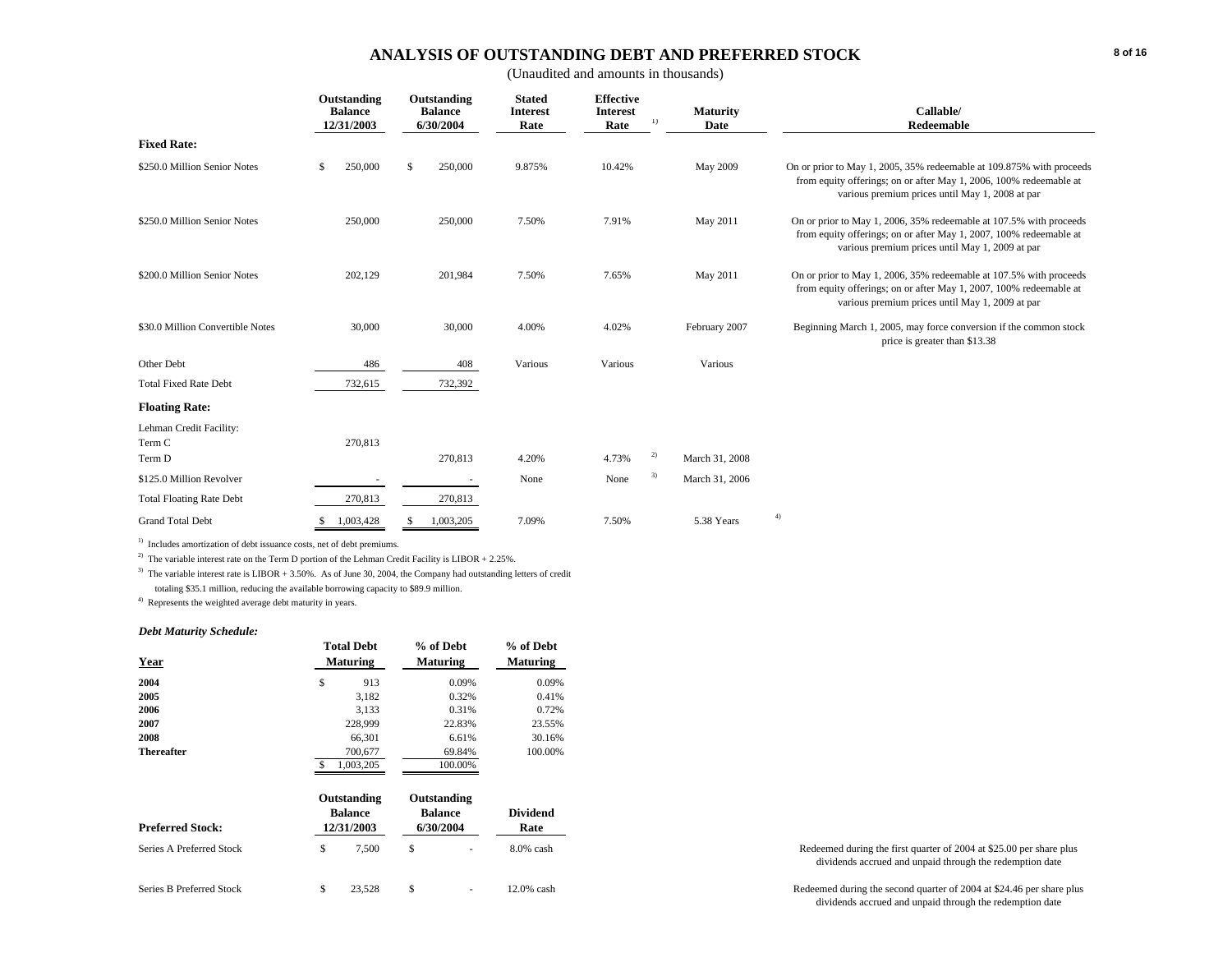# **ANALYSIS OF OUTSTANDING DEBT AND PREFERRED STOCK**

(Unaudited and amounts in thousands)

|                                   |          | Outstanding<br><b>Balance</b><br>12/31/2003 |    | Outstanding<br><b>Balance</b><br>6/30/2004 | <b>Stated</b><br><b>Interest</b><br>Rate | <b>Effective</b><br><b>Interest</b><br>Rate | 1) | <b>Maturity</b><br>Date | Callable/<br>Redeemable                                                                                                                                                                       |
|-----------------------------------|----------|---------------------------------------------|----|--------------------------------------------|------------------------------------------|---------------------------------------------|----|-------------------------|-----------------------------------------------------------------------------------------------------------------------------------------------------------------------------------------------|
| <b>Fixed Rate:</b>                |          |                                             |    |                                            |                                          |                                             |    |                         |                                                                                                                                                                                               |
| \$250.0 Million Senior Notes      | <b>S</b> | 250,000                                     | \$ | 250,000                                    | 9.875%                                   | 10.42%                                      |    | May 2009                | On or prior to May 1, 2005, 35% redeemable at 109.875% with proceeds<br>from equity offerings; on or after May 1, 2006, 100% redeemable at<br>various premium prices until May 1, 2008 at par |
| \$250.0 Million Senior Notes      |          | 250,000                                     |    | 250,000                                    | 7.50%                                    | 7.91%                                       |    | May 2011                | On or prior to May 1, 2006, 35% redeemable at 107.5% with proceeds<br>from equity offerings; on or after May 1, 2007, 100% redeemable at<br>various premium prices until May 1, 2009 at par   |
| \$200.0 Million Senior Notes      |          | 202,129                                     |    | 201,984                                    | 7.50%                                    | 7.65%                                       |    | May 2011                | On or prior to May 1, 2006, 35% redeemable at 107.5% with proceeds<br>from equity offerings; on or after May 1, 2007, 100% redeemable at<br>various premium prices until May 1, 2009 at par   |
| \$30.0 Million Convertible Notes  |          | 30,000                                      |    | 30,000                                     | 4.00%                                    | 4.02%                                       |    | February 2007           | Beginning March 1, 2005, may force conversion if the common stock<br>price is greater than \$13.38                                                                                            |
| Other Debt                        |          | 486                                         |    | 408                                        | Various                                  | Various                                     |    | Various                 |                                                                                                                                                                                               |
| <b>Total Fixed Rate Debt</b>      |          | 732,615                                     |    | 732,392                                    |                                          |                                             |    |                         |                                                                                                                                                                                               |
| <b>Floating Rate:</b>             |          |                                             |    |                                            |                                          |                                             |    |                         |                                                                                                                                                                                               |
| Lehman Credit Facility:<br>Term C |          | 270,813                                     |    |                                            |                                          |                                             |    |                         |                                                                                                                                                                                               |
| Term D                            |          |                                             |    | 270,813                                    | 4.20%                                    | 4.73%                                       | 2) | March 31, 2008          |                                                                                                                                                                                               |
| \$125.0 Million Revolver          |          |                                             |    |                                            | None                                     | None                                        | 3) | March 31, 2006          |                                                                                                                                                                                               |
| <b>Total Floating Rate Debt</b>   |          | 270,813                                     |    | 270,813                                    |                                          |                                             |    |                         |                                                                                                                                                                                               |
| <b>Grand Total Debt</b>           |          | 1,003,428                                   | -S | 1,003,205                                  | 7.09%                                    | 7.50%                                       |    | 5.38 Years              | 4)                                                                                                                                                                                            |

<sup>1)</sup> Includes amortization of debt issuance costs, net of debt premiums.

<sup>2)</sup> The variable interest rate on the Term D portion of the Lehman Credit Facility is LIBOR + 2.25%.

<sup>3)</sup> The variable interest rate is LIBOR + 3.50%. As of June 30, 2004, the Company had outstanding letters of credit totaling \$35.1 million, reducing the available borrowing capacity to \$89.9 million.

4) Represents the weighted average debt maturity in years.

#### *Debt Maturity Schedule:*

| Year                      |    | <b>Total Debt</b><br><b>Maturing</b>        | % of Debt<br><b>Maturing</b>               |         | % of Debt<br><b>Maturing</b> |  |
|---------------------------|----|---------------------------------------------|--------------------------------------------|---------|------------------------------|--|
| 2004                      | \$ | 913                                         |                                            | 0.09%   | 0.09%                        |  |
| 2005                      |    | 3.182                                       |                                            | 0.32%   | 0.41%                        |  |
| 2006                      |    | 3,133                                       |                                            | 0.31%   | 0.72%                        |  |
| 2007                      |    | 228,999                                     |                                            | 22.83%  | 23.55%                       |  |
| 2008                      |    | 66,301                                      |                                            | 6.61%   | 30.16%                       |  |
| <b>Thereafter</b>         |    | 700,677                                     |                                            | 69.84%  | 100.00%                      |  |
|                           | \$ | 1,003,205                                   |                                            | 100.00% |                              |  |
| <b>Preferred Stock:</b>   |    | Outstanding<br><b>Balance</b><br>12/31/2003 | Outstanding<br><b>Balance</b><br>6/30/2004 |         | <b>Dividend</b><br>Rate      |  |
| Series A Preferred Stock  | \$ | 7,500                                       | \$                                         |         | $8.0\%$ cash                 |  |
| Corios D Droformed Ctools | ¢  | 2250                                        | ¢                                          |         | $12.006$ and h               |  |

| Series B Pre<br>$S_{total}$<br>`atar. | 500<br>. <i>. .</i> |  | cash | $\frac{1}{2004}$ at \$24.46 per share plus<br>1 during the second quarter of 20<br>and the contract of the contract of the contract of the contract of the contract of the contract of the contract of<br>the contract of the contract of the contract of the contract of the contract of the contract of the contract of |
|---------------------------------------|---------------------|--|------|---------------------------------------------------------------------------------------------------------------------------------------------------------------------------------------------------------------------------------------------------------------------------------------------------------------------------|
|                                       |                     |  |      | dividends accrued and unpaid through the redemption date                                                                                                                                                                                                                                                                  |

Redeemed during the first quarter of 2004 at \$25.00 per share plus dividends accrued and unpaid through the redemption date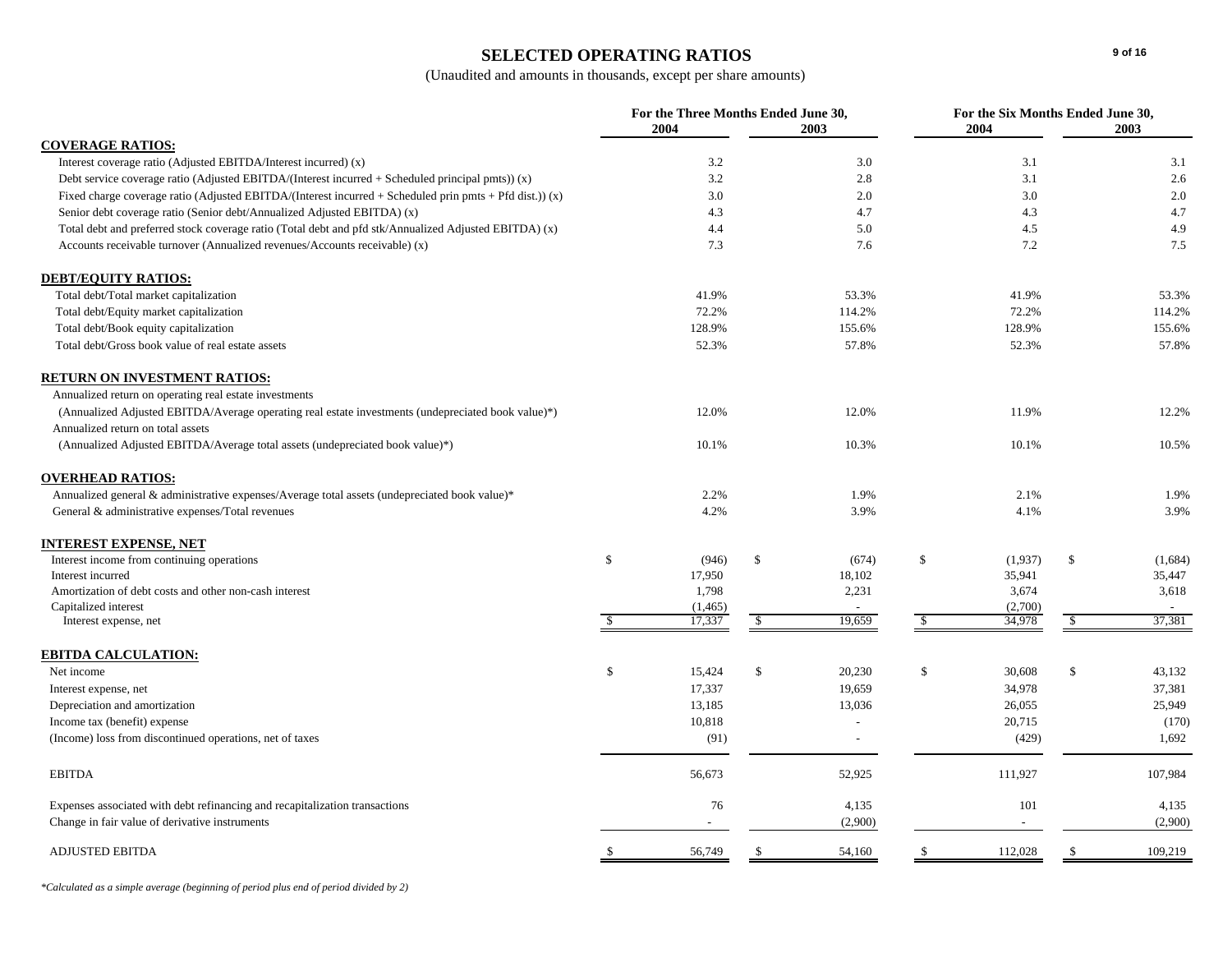# **SELECTED OPERATING RATIOS**

(Unaudited and amounts in thousands, except per share amounts)

|                                                                                                             |                       | For the Three Months Ended June 30, |                         | For the Six Months Ended June 30, |
|-------------------------------------------------------------------------------------------------------------|-----------------------|-------------------------------------|-------------------------|-----------------------------------|
|                                                                                                             | 2004                  | 2003                                | 2004                    | 2003                              |
| <b>COVERAGE RATIOS:</b>                                                                                     |                       |                                     |                         |                                   |
| Interest coverage ratio (Adjusted EBITDA/Interest incurred) (x)                                             | 3.2                   | 3.0                                 | 3.1                     | 3.1                               |
| Debt service coverage ratio (Adjusted EBITDA/(Interest incurred + Scheduled principal pmts)) $(x)$          | 3.2                   | 2.8                                 | 3.1                     | 2.6                               |
| Fixed charge coverage ratio (Adjusted EBITDA/(Interest incurred $+$ Scheduled prin pmts $+$ Pfd dist.)) (x) | 3.0                   | 2.0                                 | 3.0                     | 2.0                               |
| Senior debt coverage ratio (Senior debt/Annualized Adjusted EBITDA) (x)                                     | 4.3                   | 4.7                                 | 4.3                     | 4.7                               |
| Total debt and preferred stock coverage ratio (Total debt and pfd stk/Annualized Adjusted EBITDA) (x)       | 4.4                   | 5.0                                 | 4.5                     | 4.9                               |
| Accounts receivable turnover (Annualized revenues/Accounts receivable) (x)                                  | 7.3                   | 7.6                                 | 7.2                     | 7.5                               |
| <b>DEBT/EQUITY RATIOS:</b>                                                                                  |                       |                                     |                         |                                   |
| Total debt/Total market capitalization                                                                      | 41.9%                 | 53.3%                               | 41.9%                   | 53.3%                             |
| Total debt/Equity market capitalization                                                                     | 72.2%                 | 114.2%                              | 72.2%                   | 114.2%                            |
| Total debt/Book equity capitalization                                                                       | 128.9%                | 155.6%                              | 128.9%                  | 155.6%                            |
| Total debt/Gross book value of real estate assets                                                           | 52.3%                 | 57.8%                               | 52.3%                   | 57.8%                             |
| <b>RETURN ON INVESTMENT RATIOS:</b>                                                                         |                       |                                     |                         |                                   |
| Annualized return on operating real estate investments                                                      |                       |                                     |                         |                                   |
| (Annualized Adjusted EBITDA/Average operating real estate investments (undepreciated book value)*)          | 12.0%                 | 12.0%                               | 11.9%                   | 12.2%                             |
| Annualized return on total assets                                                                           |                       |                                     |                         |                                   |
| (Annualized Adjusted EBITDA/Average total assets (undepreciated book value)*)                               | 10.1%                 | 10.3%                               | 10.1%                   | 10.5%                             |
| <b>OVERHEAD RATIOS:</b>                                                                                     |                       |                                     |                         |                                   |
| Annualized general & administrative expenses/Average total assets (undepreciated book value)*               | 2.2%                  | 1.9%                                | 2.1%                    | 1.9%                              |
| General & administrative expenses/Total revenues                                                            | 4.2%                  | 3.9%                                | 4.1%                    | 3.9%                              |
| <b>INTEREST EXPENSE, NET</b>                                                                                |                       |                                     |                         |                                   |
| Interest income from continuing operations                                                                  | $\mathbb{S}$<br>(946) | \$<br>(674)                         | \$<br>(1,937)           | \$<br>(1,684)                     |
| Interest incurred                                                                                           | 17,950                | 18,102                              | 35,941                  | 35,447                            |
| Amortization of debt costs and other non-cash interest                                                      | 1,798                 | 2,231                               | 3,674                   | 3,618                             |
| Capitalized interest                                                                                        | (1, 465)              | $\overline{\phantom{a}}$            | (2,700)                 | $\overline{a}$                    |
| Interest expense, net                                                                                       | 17,337                | 19,659<br>\$                        | $\mathcal{S}$<br>34,978 | 37,381<br>\$                      |
| <b>EBITDA CALCULATION:</b>                                                                                  |                       |                                     |                         |                                   |
| Net income                                                                                                  | \$<br>15,424          | $\mathcal{S}$<br>20,230             | $\mathbb{S}$<br>30,608  | \$<br>43,132                      |
| Interest expense, net                                                                                       | 17,337                | 19,659                              | 34,978                  | 37,381                            |
| Depreciation and amortization                                                                               | 13,185                | 13,036                              | 26,055                  | 25,949                            |
| Income tax (benefit) expense                                                                                | 10,818                |                                     | 20,715                  | (170)                             |
| (Income) loss from discontinued operations, net of taxes                                                    | (91)                  | $\overline{\phantom{a}}$            | (429)                   | 1,692                             |
| <b>EBITDA</b>                                                                                               | 56,673                | 52,925                              | 111,927                 | 107,984                           |
| Expenses associated with debt refinancing and recapitalization transactions                                 | 76                    | 4,135                               | 101                     | 4,135                             |
| Change in fair value of derivative instruments                                                              |                       | (2,900)                             |                         | (2,900)                           |
| <b>ADJUSTED EBITDA</b>                                                                                      | 56,749<br>-S          | 54,160<br>-S                        | 112,028<br>-S           | 109,219<br>-S                     |

*\*Calculated as a simple average (beginning of period plus end of period divided by 2)*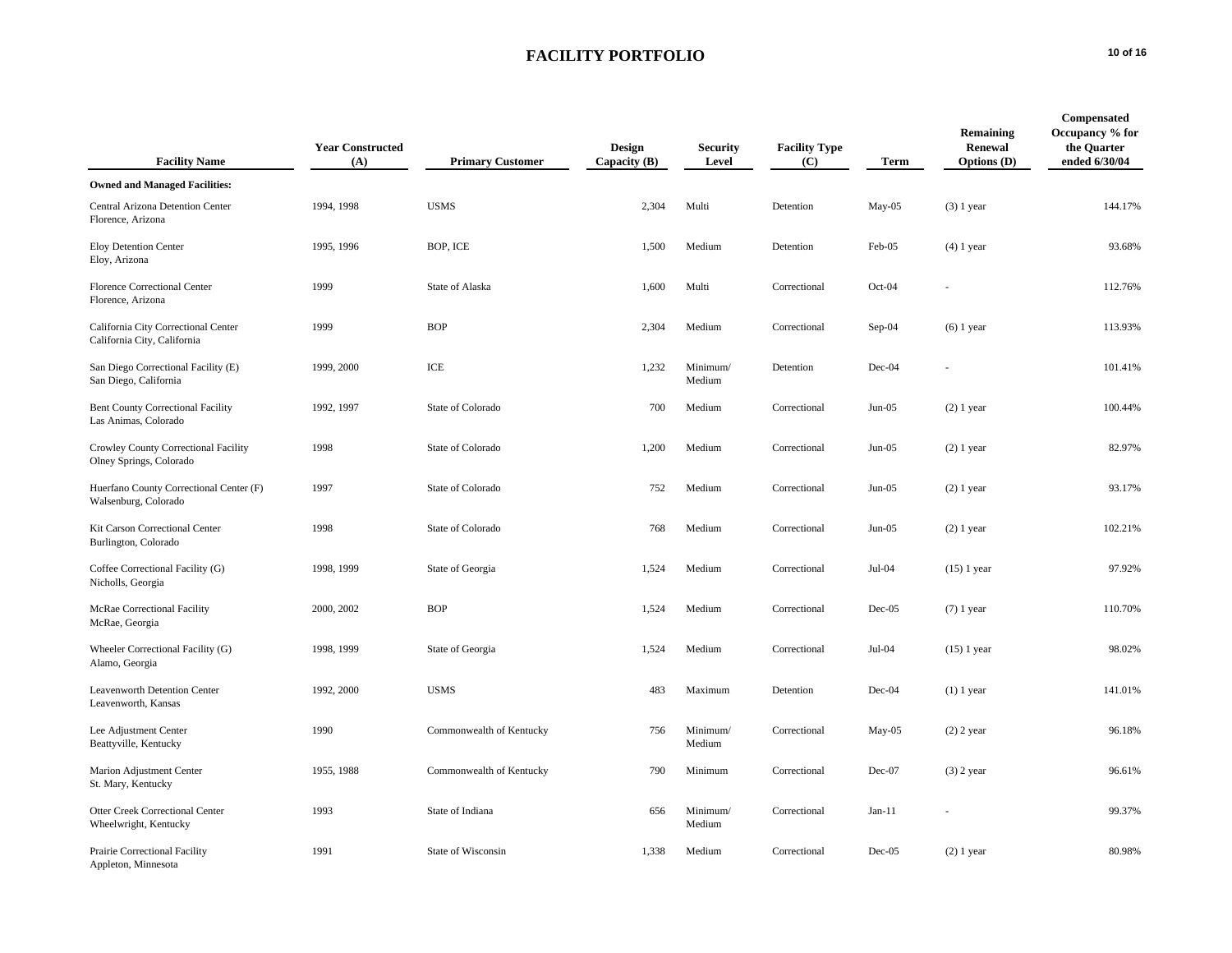| <b>Facility Name</b>                                               | <b>Year Constructed</b><br>(A) | <b>Primary Customer</b>  | Design<br>Capacity $(B)$ | <b>Security</b><br>Level | <b>Facility Type</b><br>(C) | Term     | Remaining<br>Renewal<br><b>Options</b> (D) | Compensated<br>Occupancy % for<br>the Quarter<br>ended 6/30/04 |
|--------------------------------------------------------------------|--------------------------------|--------------------------|--------------------------|--------------------------|-----------------------------|----------|--------------------------------------------|----------------------------------------------------------------|
| <b>Owned and Managed Facilities:</b>                               |                                |                          |                          |                          |                             |          |                                            |                                                                |
| Central Arizona Detention Center<br>Florence, Arizona              | 1994, 1998                     | <b>USMS</b>              | 2,304                    | Multi                    | Detention                   | $May-05$ | $(3)$ 1 year                               | 144.17%                                                        |
| Eloy Detention Center<br>Eloy, Arizona                             | 1995, 1996                     | BOP, ICE                 | 1,500                    | Medium                   | Detention                   | Feb-05   | $(4)$ 1 year                               | 93.68%                                                         |
| <b>Florence Correctional Center</b><br>Florence, Arizona           | 1999                           | State of Alaska          | 1,600                    | Multi                    | Correctional                | Oct-04   |                                            | 112.76%                                                        |
| California City Correctional Center<br>California City, California | 1999                           | <b>BOP</b>               | 2,304                    | Medium                   | Correctional                | Sep-04   | $(6)$ 1 year                               | 113.93%                                                        |
| San Diego Correctional Facility (E)<br>San Diego, California       | 1999, 2000                     | ICE                      | 1,232                    | Minimum/<br>Medium       | Detention                   | Dec-04   |                                            | 101.41%                                                        |
| <b>Bent County Correctional Facility</b><br>Las Animas, Colorado   | 1992, 1997                     | State of Colorado        | 700                      | Medium                   | Correctional                | $Jun-05$ | $(2)$ 1 year                               | 100.44%                                                        |
| Crowley County Correctional Facility<br>Olney Springs, Colorado    | 1998                           | State of Colorado        | 1,200                    | Medium                   | Correctional                | $Jun-05$ | $(2)$ 1 year                               | 82.97%                                                         |
| Huerfano County Correctional Center (F)<br>Walsenburg, Colorado    | 1997                           | State of Colorado        | 752                      | Medium                   | Correctional                | $Jun-05$ | $(2)$ 1 year                               | 93.17%                                                         |
| Kit Carson Correctional Center<br>Burlington, Colorado             | 1998                           | State of Colorado        | 768                      | Medium                   | Correctional                | $Jun-05$ | $(2)$ 1 year                               | 102.21%                                                        |
| Coffee Correctional Facility (G)<br>Nicholls, Georgia              | 1998, 1999                     | State of Georgia         | 1,524                    | Medium                   | Correctional                | $Jul-04$ | $(15)$ 1 year                              | 97.92%                                                         |
| McRae Correctional Facility<br>McRae, Georgia                      | 2000, 2002                     | <b>BOP</b>               | 1,524                    | Medium                   | Correctional                | Dec-05   | $(7)$ 1 year                               | 110.70%                                                        |
| Wheeler Correctional Facility (G)<br>Alamo, Georgia                | 1998, 1999                     | State of Georgia         | 1,524                    | Medium                   | Correctional                | $Jul-04$ | $(15)$ 1 year                              | 98.02%                                                         |
| <b>Leavenworth Detention Center</b><br>Leavenworth, Kansas         | 1992, 2000                     | <b>USMS</b>              | 483                      | Maximum                  | Detention                   | Dec-04   | $(1)$ 1 year                               | 141.01%                                                        |
| Lee Adjustment Center<br>Beattyville, Kentucky                     | 1990                           | Commonwealth of Kentucky | 756                      | Minimum/<br>Medium       | Correctional                | May-05   | $(2)$ 2 year                               | 96.18%                                                         |
| Marion Adjustment Center<br>St. Mary, Kentucky                     | 1955, 1988                     | Commonwealth of Kentucky | 790                      | Minimum                  | Correctional                | Dec-07   | $(3)$ 2 year                               | 96.61%                                                         |
| Otter Creek Correctional Center<br>Wheelwright, Kentucky           | 1993                           | State of Indiana         | 656                      | Minimum/<br>Medium       | Correctional                | $Jan-11$ |                                            | 99.37%                                                         |
| Prairie Correctional Facility<br>Appleton, Minnesota               | 1991                           | State of Wisconsin       | 1,338                    | Medium                   | Correctional                | $Dec-05$ | $(2)$ 1 year                               | 80.98%                                                         |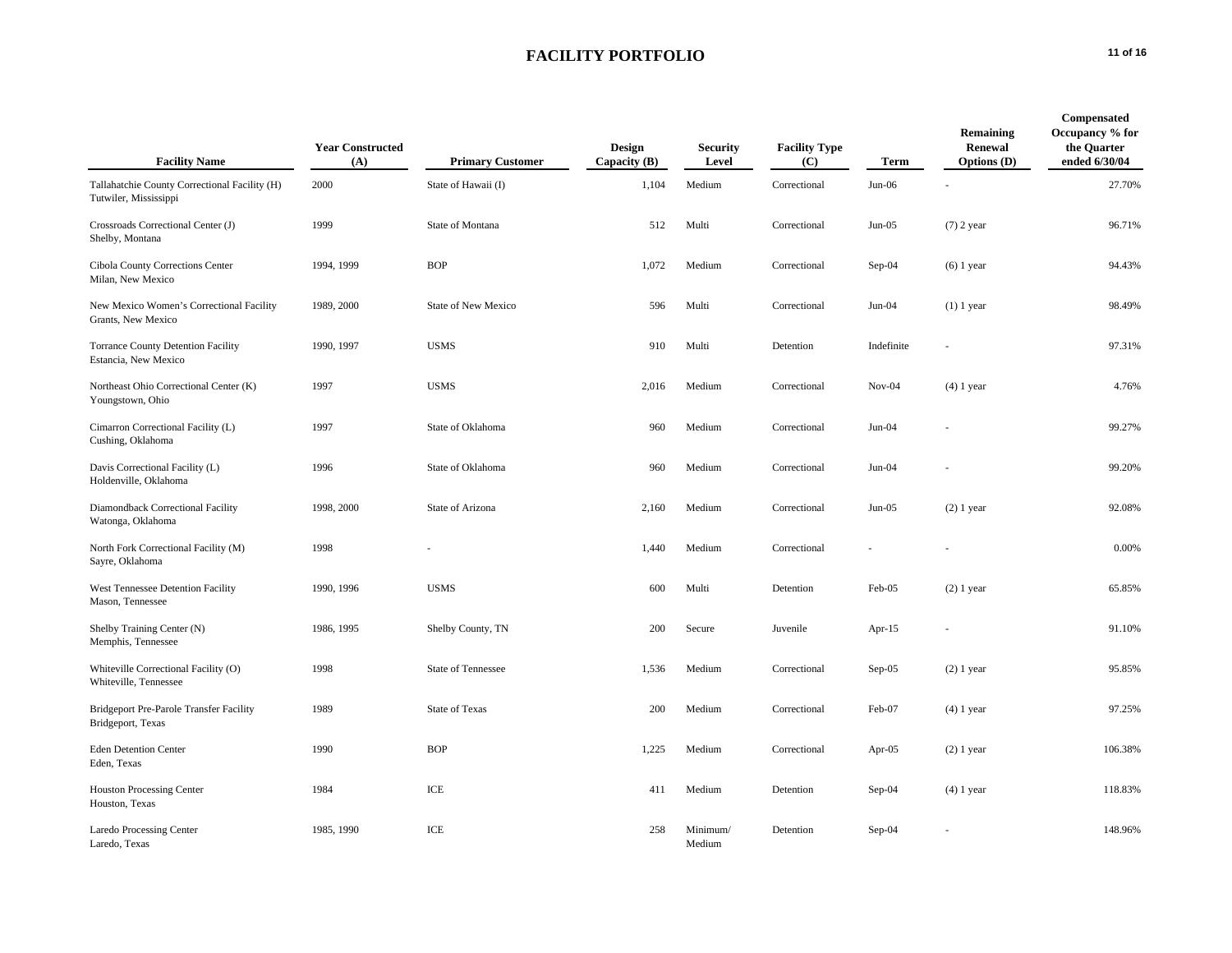| <b>Facility Name</b>                                                   | <b>Year Constructed</b><br>(A) | <b>Primary Customer</b>   | Design<br>Capacity (B) | <b>Security</b><br>Level | <b>Facility Type</b><br>$\left( \mathbf{C}\right)$ | Term       | Remaining<br>Renewal<br><b>Options</b> (D) | Compensated<br>Occupancy % for<br>the Quarter<br>ended 6/30/04 |
|------------------------------------------------------------------------|--------------------------------|---------------------------|------------------------|--------------------------|----------------------------------------------------|------------|--------------------------------------------|----------------------------------------------------------------|
| Tallahatchie County Correctional Facility (H)<br>Tutwiler, Mississippi | 2000                           | State of Hawaii (I)       | 1,104                  | Medium                   | Correctional                                       | $Jun-06$   |                                            | 27.70%                                                         |
| Crossroads Correctional Center (J)<br>Shelby, Montana                  | 1999                           | State of Montana          | 512                    | Multi                    | Correctional                                       | $Jun-05$   | $(7)$ 2 year                               | 96.71%                                                         |
| Cibola County Corrections Center<br>Milan, New Mexico                  | 1994, 1999                     | <b>BOP</b>                | 1,072                  | Medium                   | Correctional                                       | $Sep-04$   | $(6)$ 1 year                               | 94.43%                                                         |
| New Mexico Women's Correctional Facility<br>Grants, New Mexico         | 1989, 2000                     | State of New Mexico       | 596                    | Multi                    | Correctional                                       | $Jun-04$   | $(1)$ 1 year                               | 98.49%                                                         |
| <b>Torrance County Detention Facility</b><br>Estancia, New Mexico      | 1990, 1997                     | <b>USMS</b>               | 910                    | Multi                    | Detention                                          | Indefinite |                                            | 97.31%                                                         |
| Northeast Ohio Correctional Center (K)<br>Youngstown, Ohio             | 1997                           | <b>USMS</b>               | 2,016                  | Medium                   | Correctional                                       | $Nov-04$   | $(4)$ 1 year                               | 4.76%                                                          |
| Cimarron Correctional Facility (L)<br>Cushing, Oklahoma                | 1997                           | State of Oklahoma         | 960                    | Medium                   | Correctional                                       | $Jun-04$   |                                            | 99.27%                                                         |
| Davis Correctional Facility (L)<br>Holdenville, Oklahoma               | 1996                           | State of Oklahoma         | 960                    | Medium                   | Correctional                                       | $Jun-04$   |                                            | 99.20%                                                         |
| Diamondback Correctional Facility<br>Watonga, Oklahoma                 | 1998, 2000                     | State of Arizona          | 2,160                  | Medium                   | Correctional                                       | $Jun-05$   | $(2)$ 1 year                               | 92.08%                                                         |
| North Fork Correctional Facility (M)<br>Sayre, Oklahoma                | 1998                           |                           | 1,440                  | Medium                   | Correctional                                       |            |                                            | 0.00%                                                          |
| West Tennessee Detention Facility<br>Mason, Tennessee                  | 1990, 1996                     | <b>USMS</b>               | 600                    | Multi                    | Detention                                          | Feb-05     | $(2)$ 1 year                               | 65.85%                                                         |
| Shelby Training Center (N)<br>Memphis, Tennessee                       | 1986, 1995                     | Shelby County, TN         | 200                    | Secure                   | Juvenile                                           | Apr- $15$  |                                            | 91.10%                                                         |
| Whiteville Correctional Facility (O)<br>Whiteville, Tennessee          | 1998                           | <b>State of Tennessee</b> | 1,536                  | Medium                   | Correctional                                       | $Sep-05$   | $(2)$ 1 year                               | 95.85%                                                         |
| <b>Bridgeport Pre-Parole Transfer Facility</b><br>Bridgeport, Texas    | 1989                           | <b>State of Texas</b>     | 200                    | Medium                   | Correctional                                       | Feb-07     | $(4)$ 1 year                               | 97.25%                                                         |
| <b>Eden Detention Center</b><br>Eden, Texas                            | 1990                           | <b>BOP</b>                | 1,225                  | Medium                   | Correctional                                       | Apr- $05$  | $(2)$ 1 year                               | 106.38%                                                        |
| <b>Houston Processing Center</b><br>Houston, Texas                     | 1984                           | ICE                       | 411                    | Medium                   | Detention                                          | $Sep-04$   | $(4)$ 1 year                               | 118.83%                                                        |
| <b>Laredo Processing Center</b><br>Laredo, Texas                       | 1985, 1990                     | ICE                       | 258                    | Minimum/<br>Medium       | Detention                                          | $Sep-04$   |                                            | 148.96%                                                        |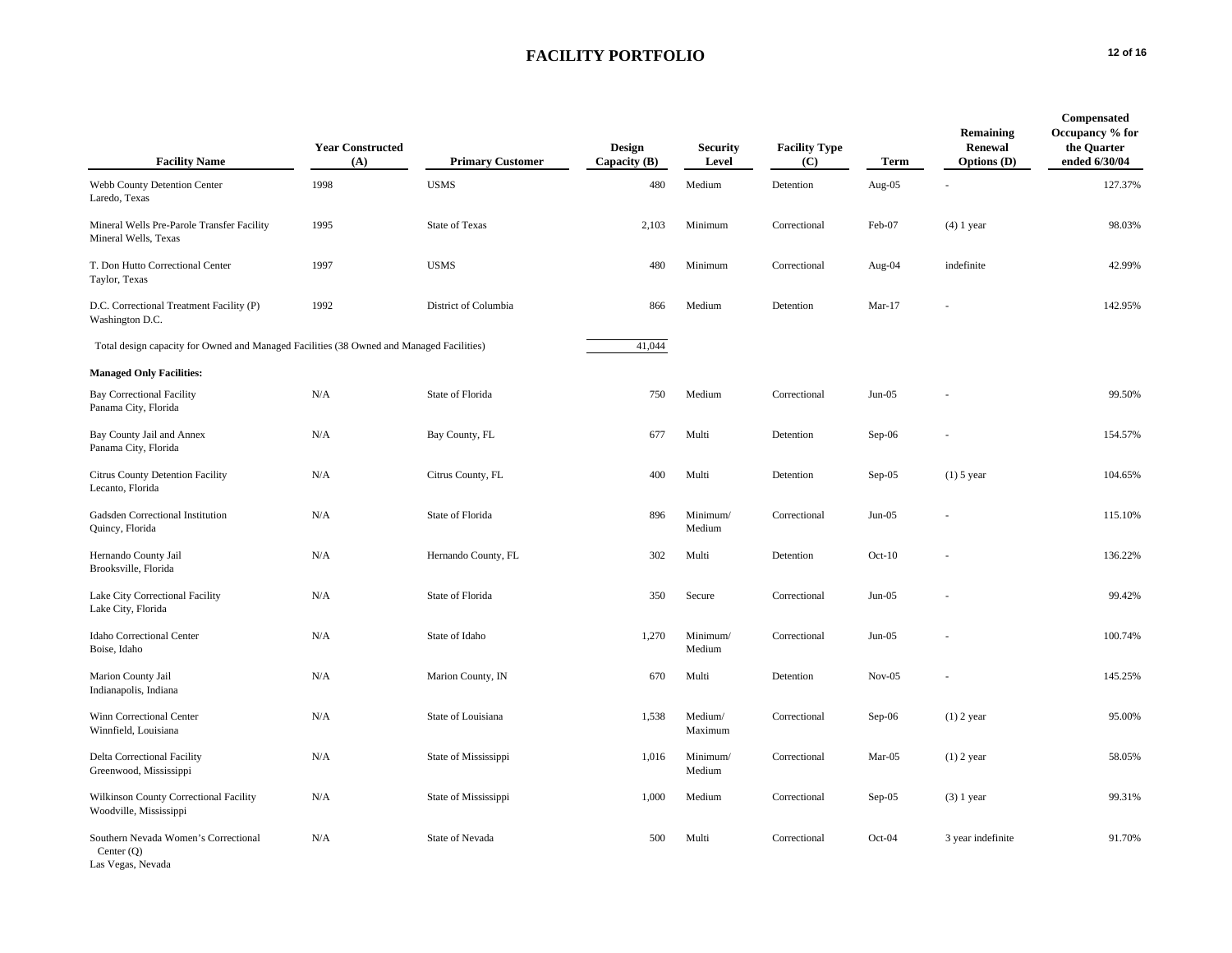| <b>Facility Name</b>                                                                     | <b>Year Constructed</b><br>(A) | <b>Primary Customer</b> | Design<br>Capacity $(B)$ | <b>Security</b><br>Level | <b>Facility Type</b><br>(C) | Term      | Remaining<br>Renewal<br><b>Options</b> (D) | Compensated<br>Occupancy % for<br>the Quarter<br>ended 6/30/04 |
|------------------------------------------------------------------------------------------|--------------------------------|-------------------------|--------------------------|--------------------------|-----------------------------|-----------|--------------------------------------------|----------------------------------------------------------------|
| Webb County Detention Center<br>Laredo, Texas                                            | 1998                           | <b>USMS</b>             | 480                      | Medium                   | Detention                   | Aug- $05$ |                                            | 127.37%                                                        |
| Mineral Wells Pre-Parole Transfer Facility<br>Mineral Wells, Texas                       | 1995                           | <b>State of Texas</b>   | 2,103                    | Minimum                  | Correctional                | Feb-07    | $(4)$ 1 year                               | 98.03%                                                         |
| T. Don Hutto Correctional Center<br>Taylor, Texas                                        | 1997                           | <b>USMS</b>             | 480                      | Minimum                  | Correctional                | Aug-04    | indefinite                                 | 42.99%                                                         |
| D.C. Correctional Treatment Facility (P)<br>Washington D.C.                              | 1992                           | District of Columbia    | 866                      | Medium                   | Detention                   | $Mar-17$  |                                            | 142.95%                                                        |
| Total design capacity for Owned and Managed Facilities (38 Owned and Managed Facilities) |                                |                         | 41,044                   |                          |                             |           |                                            |                                                                |
| <b>Managed Only Facilities:</b>                                                          |                                |                         |                          |                          |                             |           |                                            |                                                                |
| <b>Bay Correctional Facility</b><br>Panama City, Florida                                 | N/A                            | State of Florida        | 750                      | Medium                   | Correctional                | $Jun-05$  |                                            | 99.50%                                                         |
| Bay County Jail and Annex<br>Panama City, Florida                                        | N/A                            | Bay County, FL          | 677                      | Multi                    | Detention                   | $Sep-06$  |                                            | 154.57%                                                        |
| Citrus County Detention Facility<br>Lecanto, Florida                                     | N/A                            | Citrus County, FL       | 400                      | Multi                    | Detention                   | $Sep-05$  | $(1)$ 5 year                               | 104.65%                                                        |
| Gadsden Correctional Institution<br>Quincy, Florida                                      | N/A                            | State of Florida        | 896                      | Minimum/<br>Medium       | Correctional                | $Jun-05$  |                                            | 115.10%                                                        |
| Hernando County Jail<br>Brooksville, Florida                                             | N/A                            | Hernando County, FL     | 302                      | Multi                    | Detention                   | $Oct-10$  |                                            | 136.22%                                                        |
| Lake City Correctional Facility<br>Lake City, Florida                                    | N/A                            | State of Florida        | 350                      | Secure                   | Correctional                | $Jun-05$  |                                            | 99.42%                                                         |
| Idaho Correctional Center<br>Boise, Idaho                                                | N/A                            | State of Idaho          | 1,270                    | Minimum/<br>Medium       | Correctional                | $Jun-05$  |                                            | 100.74%                                                        |
| Marion County Jail<br>Indianapolis, Indiana                                              | N/A                            | Marion County, IN       | 670                      | Multi                    | Detention                   | $Nov-05$  |                                            | 145.25%                                                        |
| Winn Correctional Center<br>Winnfield, Louisiana                                         | N/A                            | State of Louisiana      | 1,538                    | Medium/<br>Maximum       | Correctional                | Sep-06    | $(1)$ 2 year                               | 95.00%                                                         |
| Delta Correctional Facility<br>Greenwood, Mississippi                                    | N/A                            | State of Mississippi    | 1,016                    | Minimum/<br>Medium       | Correctional                | Mar-05    | $(1)$ 2 year                               | 58.05%                                                         |
| Wilkinson County Correctional Facility<br>Woodville, Mississippi                         | N/A                            | State of Mississippi    | 1,000                    | Medium                   | Correctional                | $Sep-05$  | $(3)$ 1 year                               | 99.31%                                                         |
| Southern Nevada Women's Correctional<br>Center $(Q)$<br>Las Vegas, Nevada                | N/A                            | State of Nevada         | 500                      | Multi                    | Correctional                | $Oct-04$  | 3 year indefinite                          | 91.70%                                                         |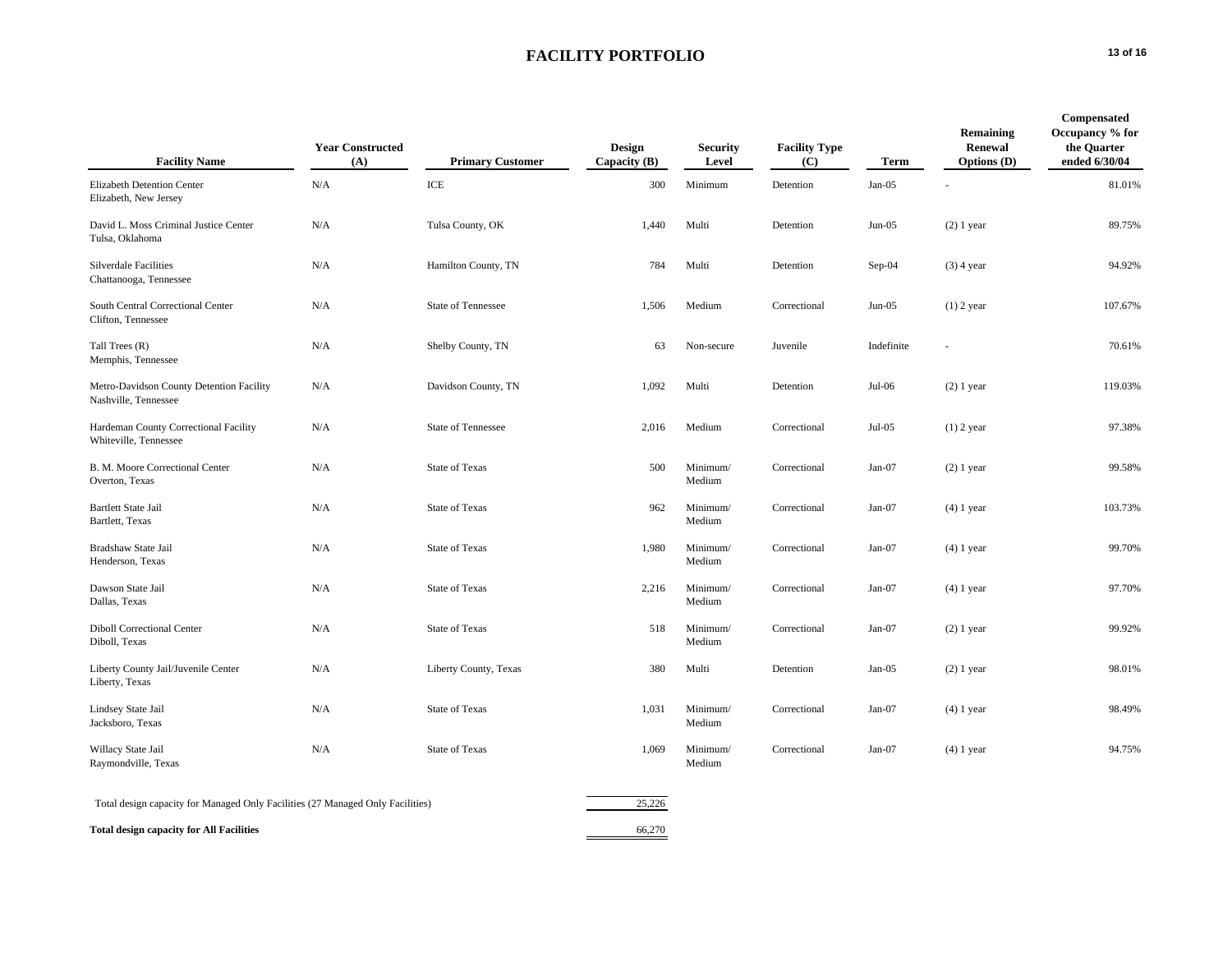| <b>Facility Name</b>                                                           | <b>Year Constructed</b><br>(A) | <b>Primary Customer</b>   | <b>Design</b><br>Capacity $(B)$ | <b>Security</b><br>Level | <b>Facility Type</b><br>(C) | Term       | Remaining<br>Renewal<br><b>Options</b> (D) | Compensated<br>Occupancy % for<br>the Quarter<br>ended 6/30/04 |
|--------------------------------------------------------------------------------|--------------------------------|---------------------------|---------------------------------|--------------------------|-----------------------------|------------|--------------------------------------------|----------------------------------------------------------------|
| Elizabeth Detention Center<br>Elizabeth, New Jersey                            | N/A                            | ICE                       | 300                             | Minimum                  | Detention                   | $Jan-05$   |                                            | 81.01%                                                         |
| David L. Moss Criminal Justice Center<br>Tulsa, Oklahoma                       | N/A                            | Tulsa County, OK          | 1,440                           | Multi                    | Detention                   | $Jun-05$   | $(2)$ 1 year                               | 89.75%                                                         |
| Silverdale Facilities<br>Chattanooga, Tennessee                                | N/A                            | Hamilton County, TN       | 784                             | Multi                    | Detention                   | $Sep-04$   | $(3)$ 4 year                               | 94.92%                                                         |
| South Central Correctional Center<br>Clifton, Tennessee                        | N/A                            | <b>State of Tennessee</b> | 1,506                           | Medium                   | Correctional                | $Jun-05$   | $(1)$ 2 year                               | 107.67%                                                        |
| Tall Trees (R)<br>Memphis, Tennessee                                           | N/A                            | Shelby County, TN         | 63                              | Non-secure               | Juvenile                    | Indefinite |                                            | 70.61%                                                         |
| Metro-Davidson County Detention Facility<br>Nashville, Tennessee               | N/A                            | Davidson County, TN       | 1,092                           | Multi                    | Detention                   | $Jul-06$   | $(2)$ 1 year                               | 119.03%                                                        |
| Hardeman County Correctional Facility<br>Whiteville, Tennessee                 | N/A                            | <b>State of Tennessee</b> | 2,016                           | Medium                   | Correctional                | $Jul-05$   | $(1)$ 2 year                               | 97.38%                                                         |
| B. M. Moore Correctional Center<br>Overton, Texas                              | N/A                            | <b>State of Texas</b>     | 500                             | Minimum/<br>Medium       | Correctional                | $Jan-07$   | $(2)$ 1 year                               | 99.58%                                                         |
| <b>Bartlett State Jail</b><br>Bartlett, Texas                                  | N/A                            | <b>State of Texas</b>     | 962                             | Minimum/<br>Medium       | Correctional                | $Jan-07$   | $(4)$ 1 year                               | 103.73%                                                        |
| Bradshaw State Jail<br>Henderson, Texas                                        | N/A                            | <b>State of Texas</b>     | 1,980                           | Minimum/<br>Medium       | Correctional                | $Jan-07$   | $(4)$ 1 year                               | 99.70%                                                         |
| Dawson State Jail<br>Dallas, Texas                                             | N/A                            | <b>State of Texas</b>     | 2,216                           | Minimum/<br>Medium       | Correctional                | Jan-07     | $(4)$ 1 year                               | 97.70%                                                         |
| <b>Diboll Correctional Center</b><br>Diboll, Texas                             | N/A                            | <b>State of Texas</b>     | 518                             | Minimum/<br>Medium       | Correctional                | $Jan-07$   | $(2)$ 1 year                               | 99.92%                                                         |
| Liberty County Jail/Juvenile Center<br>Liberty, Texas                          | N/A                            | Liberty County, Texas     | 380                             | Multi                    | Detention                   | $Jan-05$   | $(2)$ 1 year                               | 98.01%                                                         |
| Lindsey State Jail<br>Jacksboro, Texas                                         | N/A                            | <b>State of Texas</b>     | 1,031                           | Minimum/<br>Medium       | Correctional                | Jan-07     | $(4)$ 1 year                               | 98.49%                                                         |
| Willacy State Jail<br>Raymondville, Texas                                      | N/A                            | <b>State of Texas</b>     | 1,069                           | Minimum/<br>Medium       | Correctional                | $Jan-07$   | $(4)$ 1 year                               | 94.75%                                                         |
| Total design capacity for Managed Only Facilities (27 Managed Only Facilities) |                                |                           | 25,226                          |                          |                             |            |                                            |                                                                |
| <b>Total design capacity for All Facilities</b>                                |                                |                           | 66,270                          |                          |                             |            |                                            |                                                                |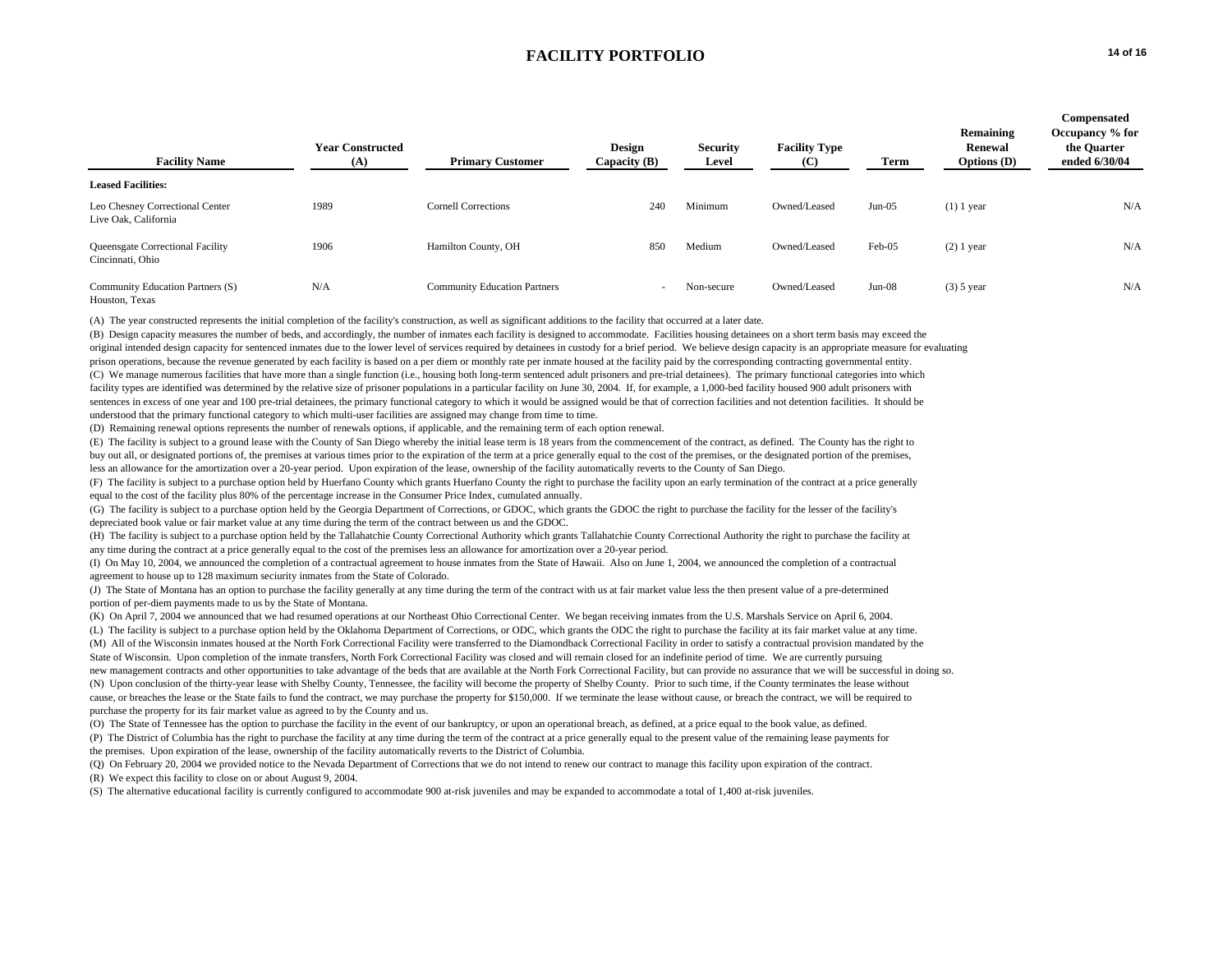| <b>Facility Name</b>                                    | <b>Year Constructed</b><br>(A) | <b>Primary Customer</b>             | <b>Design</b><br>Capacity (B) | <b>Security</b><br>Level | <b>Facility Type</b><br>(C) | Term     | Remaining<br>Renewal<br>Options $(D)$ | Compensated<br>Occupancy % for<br>the Quarter<br>ended 6/30/04 |
|---------------------------------------------------------|--------------------------------|-------------------------------------|-------------------------------|--------------------------|-----------------------------|----------|---------------------------------------|----------------------------------------------------------------|
| <b>Leased Facilities:</b>                               |                                |                                     |                               |                          |                             |          |                                       |                                                                |
| Leo Chesney Correctional Center<br>Live Oak, California | 1989                           | <b>Cornell Corrections</b>          | 240                           | Minimum                  | Owned/Leased                | $Jun-05$ | $(1)$ 1 year                          | N/A                                                            |
| Queensgate Correctional Facility<br>Cincinnati, Ohio    | 1906                           | Hamilton County, OH                 | 850                           | Medium                   | Owned/Leased                | Feb-05   | $(2)$ 1 year                          | N/A                                                            |
| Community Education Partners (S)<br>Houston, Texas      | N/A                            | <b>Community Education Partners</b> |                               | Non-secure               | Owned/Leased                | $Jun-08$ | $(3)$ 5 year                          | N/A                                                            |

(A) The year constructed represents the initial completion of the facility's construction, as well as significant additions to the facility that occurred at a later date.

(B) Design capacity measures the number of beds, and accordingly, the number of inmates each facility is designed to accommodate. Facilities housing detainees on a short term basis may exceed the original intended design capacity for sentenced inmates due to the lower level of services required by detainees in custody for a brief period. We believe design capacity is an appropriate measure for evaluating prison operations, because the revenue generated by each facility is based on a per diem or monthly rate per inmate housed at the facility paid by the corresponding contracting governmental entity. (C) We manage numerous facilities that have more than a single function (i.e., housing both long-term sentenced adult prisoners and pre-trial detainees). The primary functional categories into which facility types are identified was determined by the relative size of prisoner populations in a particular facility on June 30, 2004. If, for example, a 1,000-bed facility housed 900 adult prisoners with sentences in excess of one year and 100 pre-trial detainees, the primary functional category to which it would be assigned would be that of correction facilities and not detention facilities. It should be understood that the primary functional category to which multi-user facilities are assigned may change from time to time.

(D) Remaining renewal options represents the number of renewals options, if applicable, and the remaining term of each option renewal.

(E) The facility is subject to a ground lease with the County of San Diego whereby the initial lease term is 18 years from the commencement of the contract, as defined. The County has the right to buy out all, or designated portions of, the premises at various times prior to the expiration of the term at a price generally equal to the cost of the premises, or the designated portion of the premises, less an allowance for the amortization over a 20-year period. Upon expiration of the lease, ownership of the facility automatically reverts to the County of San Diego.

(F) The facility is subject to a purchase option held by Huerfano County which grants Huerfano County the right to purchase the facility upon an early termination of the contract at a price generally equal to the cost of the facility plus 80% of the percentage increase in the Consumer Price Index, cumulated annually.

(G) The facility is subject to a purchase option held by the Georgia Department of Corrections, or GDOC, which grants the GDOC the right to purchase the facility for the lesser of the facility's depreciated book value or fair market value at any time during the term of the contract between us and the GDOC.

(H) The facility is subject to a purchase option held by the Tallahatchie County Correctional Authority which grants Tallahatchie County Correctional Authority the right to purchase the facility at any time during the contract at a price generally equal to the cost of the premises less an allowance for amortization over a 20-year period.

(I) On May 10, 2004, we announced the completion of a contractual agreement to house inmates from the State of Hawaii. Also on June 1, 2004, we announced the completion of a contractual agreement to house up to 128 maximum seciurity inmates from the State of Colorado.

(J) The State of Montana has an option to purchase the facility generally at any time during the term of the contract with us at fair market value less the then present value of a pre-determined portion of per-diem payments made to us by the State of Montana.

(K) On April 7, 2004 we announced that we had resumed operations at our Northeast Ohio Correctional Center. We began receiving inmates from the U.S. Marshals Service on April 6, 2004. (L) The facility is subject to a purchase option held by the Oklahoma Department of Corrections, or ODC, which grants the ODC the right to purchase the facility at its fair market value at any time. (M) All of the Wisconsin inmates housed at the North Fork Correctional Facility were transferred to the Diamondback Correctional Facility in order to satisfy a contractual provision mandated by the State of Wisconsin. Upon completion of the inmate transfers, North Fork Correctional Facility was closed and will remain closed for an indefinite period of time. We are currently pursuing new management contracts and other opportunities to take advantage of the beds that are available at the North Fork Correctional Facility, but can provide no assurance that we will be successful in doing so. (N) Upon conclusion of the thirty-year lease with Shelby County, Tennessee, the facility will become the property of Shelby County. Prior to such time, if the County terminates the lease without cause, or breaches the lease or the State fails to fund the contract, we may purchase the property for \$150,000. If we terminate the lease without cause, or breach the contract, we will be required to purchase the property for its fair market value as agreed to by the County and us.

(O) The State of Tennessee has the option to purchase the facility in the event of our bankruptcy, or upon an operational breach, as defined, at a price equal to the book value, as defined. (P) The District of Columbia has the right to purchase the facility at any time during the term of the contract at a price generally equal to the present value of the remaining lease payments for the premises. Upon expiration of the lease, ownership of the facility automatically reverts to the District of Columbia.

(Q) On February 20, 2004 we provided notice to the Nevada Department of Corrections that we do not intend to renew our contract to manage this facility upon expiration of the contract. (R) We expect this facility to close on or about August 9, 2004.

(S) The alternative educational facility is currently configured to accommodate 900 at-risk juveniles and may be expanded to accommodate a total of 1,400 at-risk juveniles.

**Compensated**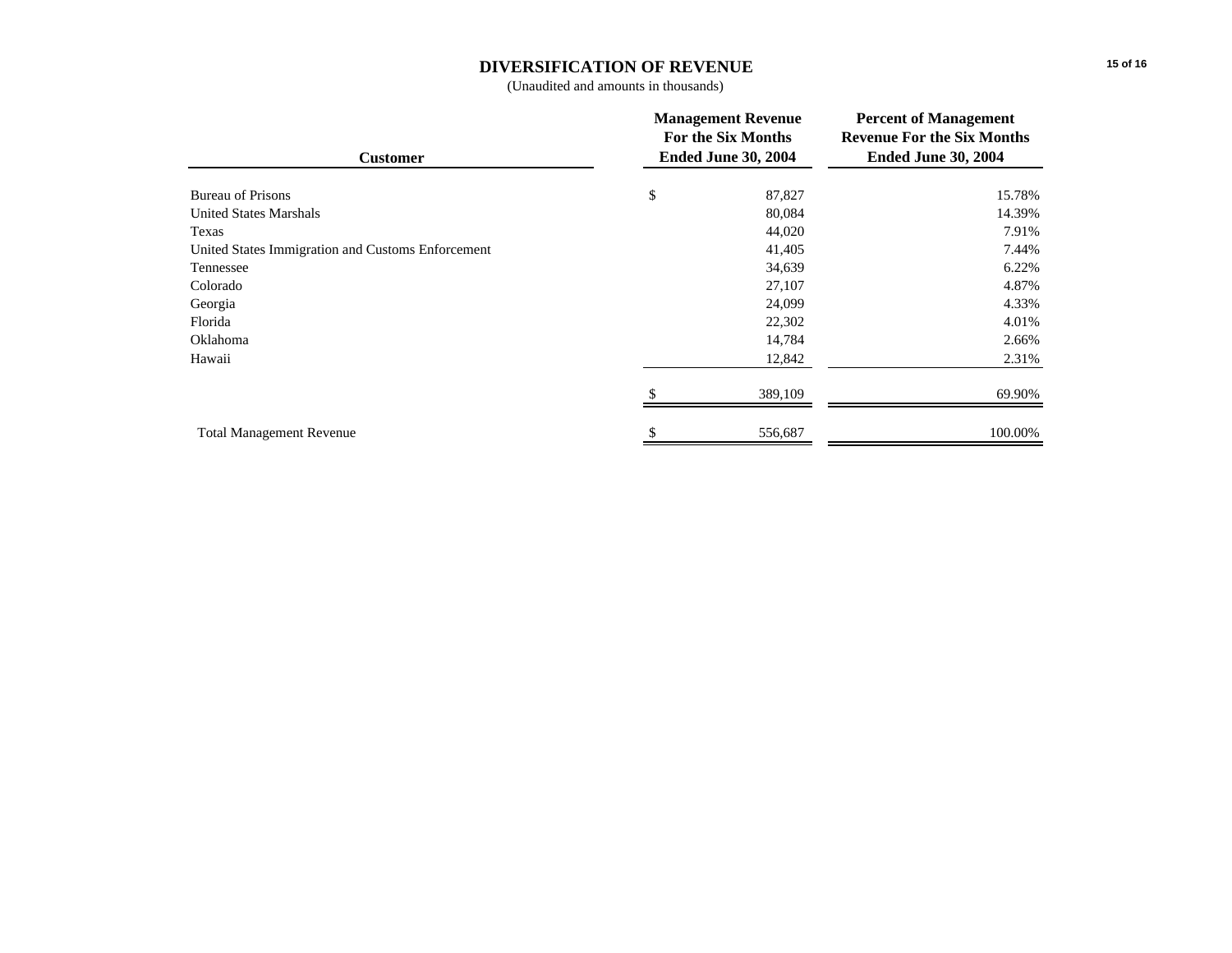# **DIVERSIFICATION OF REVENUE**

(Unaudited and amounts in thousands)

| <b>Customer</b>                                   | <b>Management Revenue</b><br>For the Six Months<br><b>Ended June 30, 2004</b> |         | <b>Percent of Management</b><br><b>Revenue For the Six Months</b><br><b>Ended June 30, 2004</b> |  |
|---------------------------------------------------|-------------------------------------------------------------------------------|---------|-------------------------------------------------------------------------------------------------|--|
| <b>Bureau of Prisons</b>                          | \$                                                                            | 87,827  | 15.78%                                                                                          |  |
| <b>United States Marshals</b>                     |                                                                               | 80,084  | 14.39%                                                                                          |  |
| Texas                                             |                                                                               | 44,020  | 7.91%                                                                                           |  |
| United States Immigration and Customs Enforcement |                                                                               | 41,405  | 7.44%                                                                                           |  |
| Tennessee                                         |                                                                               | 34,639  | 6.22%                                                                                           |  |
| Colorado                                          |                                                                               | 27,107  | 4.87%                                                                                           |  |
| Georgia                                           |                                                                               | 24,099  | 4.33%                                                                                           |  |
| Florida                                           |                                                                               | 22,302  | 4.01%                                                                                           |  |
| Oklahoma                                          |                                                                               | 14,784  | 2.66%                                                                                           |  |
| Hawaii                                            |                                                                               | 12,842  | 2.31%                                                                                           |  |
|                                                   |                                                                               | 389,109 | 69.90%                                                                                          |  |
| <b>Total Management Revenue</b>                   |                                                                               | 556,687 | 100.00%                                                                                         |  |